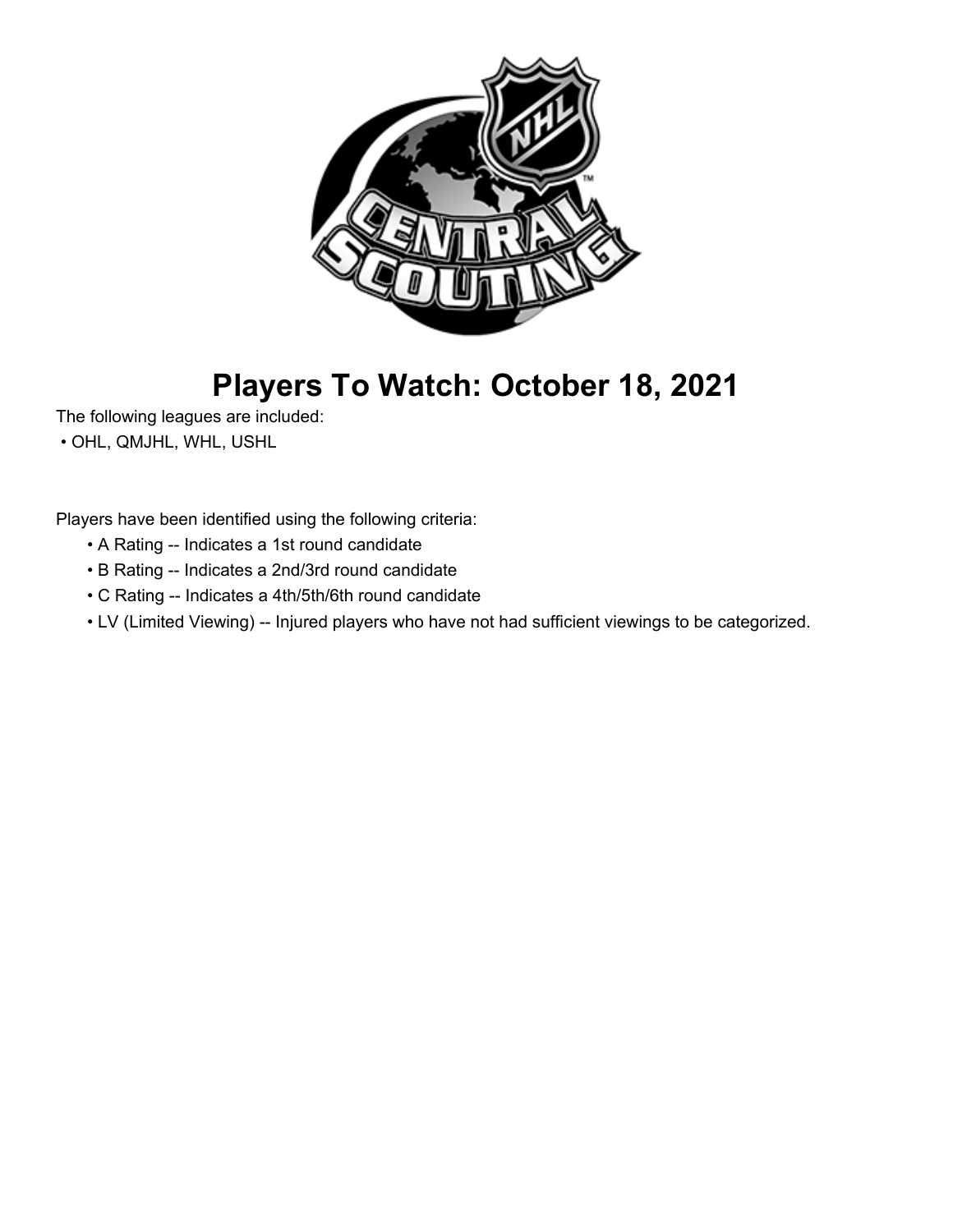

# **Players To Watch: October 18, 2021**

The following leagues are included:

• OHL, QMJHL, WHL, USHL

Players have been identified using the following criteria:

- A Rating -- Indicates a 1st round candidate
- B Rating -- Indicates a 2nd/3rd round candidate
- C Rating -- Indicates a 4th/5th/6th round candidate
- LV (Limited Viewing) -- Injured players who have not had sufficient viewings to be categorized.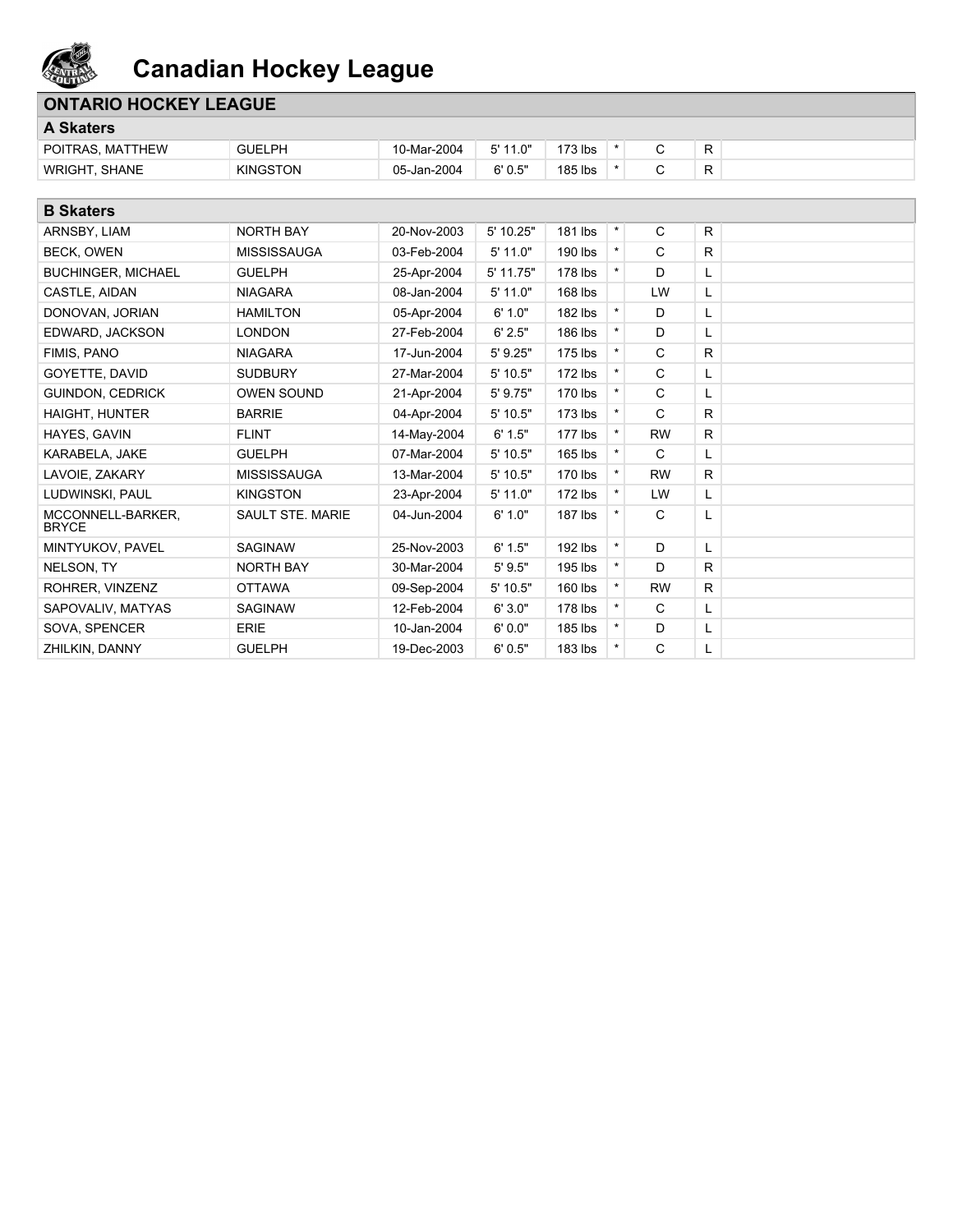

## **ONTARIO HOCKEY LEAGUE**

| <b>A Skaters</b>          |                 |             |            |         |         |  |   |  |
|---------------------------|-----------------|-------------|------------|---------|---------|--|---|--|
| POITRAS, MATTHEW          | <b>GUELPH</b>   | 10-Mar-2004 | $5'$ 11.0" | '73 lbs |         |  | R |  |
| . SHANE<br><b>WRIGHT.</b> | <b>KINGSTON</b> | 05-Jan-2004 | 6'0.5"     | 185 lbs | $\star$ |  | R |  |

| <b>B</b> Skaters                  |                         |             |            |           |         |           |    |
|-----------------------------------|-------------------------|-------------|------------|-----------|---------|-----------|----|
| ARNSBY, LIAM                      | <b>NORTH BAY</b>        | 20-Nov-2003 | 5' 10.25"  | 181 lbs   | $\star$ | C         | R  |
| BECK, OWEN                        | <b>MISSISSAUGA</b>      | 03-Feb-2004 | 5' 11.0"   | 190 lbs   | $\star$ | C         | R. |
| <b>BUCHINGER, MICHAEL</b>         | <b>GUELPH</b>           | 25-Apr-2004 | 5' 11.75"  | 178 lbs   |         | D         | L. |
| CASTLE, AIDAN                     | <b>NIAGARA</b>          | 08-Jan-2004 | 5' 11.0"   | 168 lbs   |         | LW        | L  |
| DONOVAN, JORIAN                   | <b>HAMILTON</b>         | 05-Apr-2004 | 6' 1.0"    | 182 lbs   | $\star$ | D         | L  |
| EDWARD, JACKSON                   | <b>LONDON</b>           | 27-Feb-2004 | 6' 2.5"    | 186 lbs   |         | D         | L  |
| FIMIS, PANO                       | <b>NIAGARA</b>          | 17-Jun-2004 | $5'$ 9.25" | $175$ lbs |         | C         | R  |
| GOYETTE, DAVID                    | <b>SUDBURY</b>          | 27-Mar-2004 | $5'$ 10.5" | 172 lbs   | $\star$ | C         | L  |
| <b>GUINDON, CEDRICK</b>           | <b>OWEN SOUND</b>       | 21-Apr-2004 | $5'$ 9.75" | 170 lbs   |         | C         | L  |
| <b>HAIGHT, HUNTER</b>             | <b>BARRIE</b>           | 04-Apr-2004 | $5'$ 10.5" | $173$ lbs | $\star$ | C         | R. |
| HAYES, GAVIN                      | <b>FLINT</b>            | 14-May-2004 | 6' 1.5"    | $177$ lbs |         | <b>RW</b> | R  |
| KARABELA, JAKE                    | <b>GUELPH</b>           | 07-Mar-2004 | $5'$ 10.5" | 165 lbs   | $\star$ | C         | L  |
| LAVOIE, ZAKARY                    | <b>MISSISSAUGA</b>      | 13-Mar-2004 | $5'$ 10.5" | 170 lbs   | $\star$ | <b>RW</b> | R  |
| LUDWINSKI, PAUL                   | <b>KINGSTON</b>         | 23-Apr-2004 | $5'$ 11.0" | $172$ lbs |         | LW        | L  |
| MCCONNELL-BARKER.<br><b>BRYCE</b> | <b>SAULT STE, MARIE</b> | 04-Jun-2004 | 6' 1.0"    | $187$ lbs |         | C         | L  |
| MINTYUKOV, PAVEL                  | <b>SAGINAW</b>          | 25-Nov-2003 | 6' 1.5"    | 192 lbs   | $\star$ | D         | L  |
| NELSON, TY                        | <b>NORTH BAY</b>        | 30-Mar-2004 | 5'9.5"     | 195 lbs   |         | D         | R  |
| ROHRER, VINZENZ                   | <b>OTTAWA</b>           | 09-Sep-2004 | $5'$ 10.5" | 160 lbs   |         | <b>RW</b> | R  |
| SAPOVALIV, MATYAS                 | <b>SAGINAW</b>          | 12-Feb-2004 | 6'3.0"     | 178 lbs   | $\star$ | C         | L. |
| SOVA, SPENCER                     | <b>ERIE</b>             | 10-Jan-2004 | 6'0.0"     | 185 lbs   |         | D         | L  |
| ZHILKIN, DANNY                    | <b>GUELPH</b>           | 19-Dec-2003 | 6'0.5"     | 183 lbs   | $\star$ | C         | L  |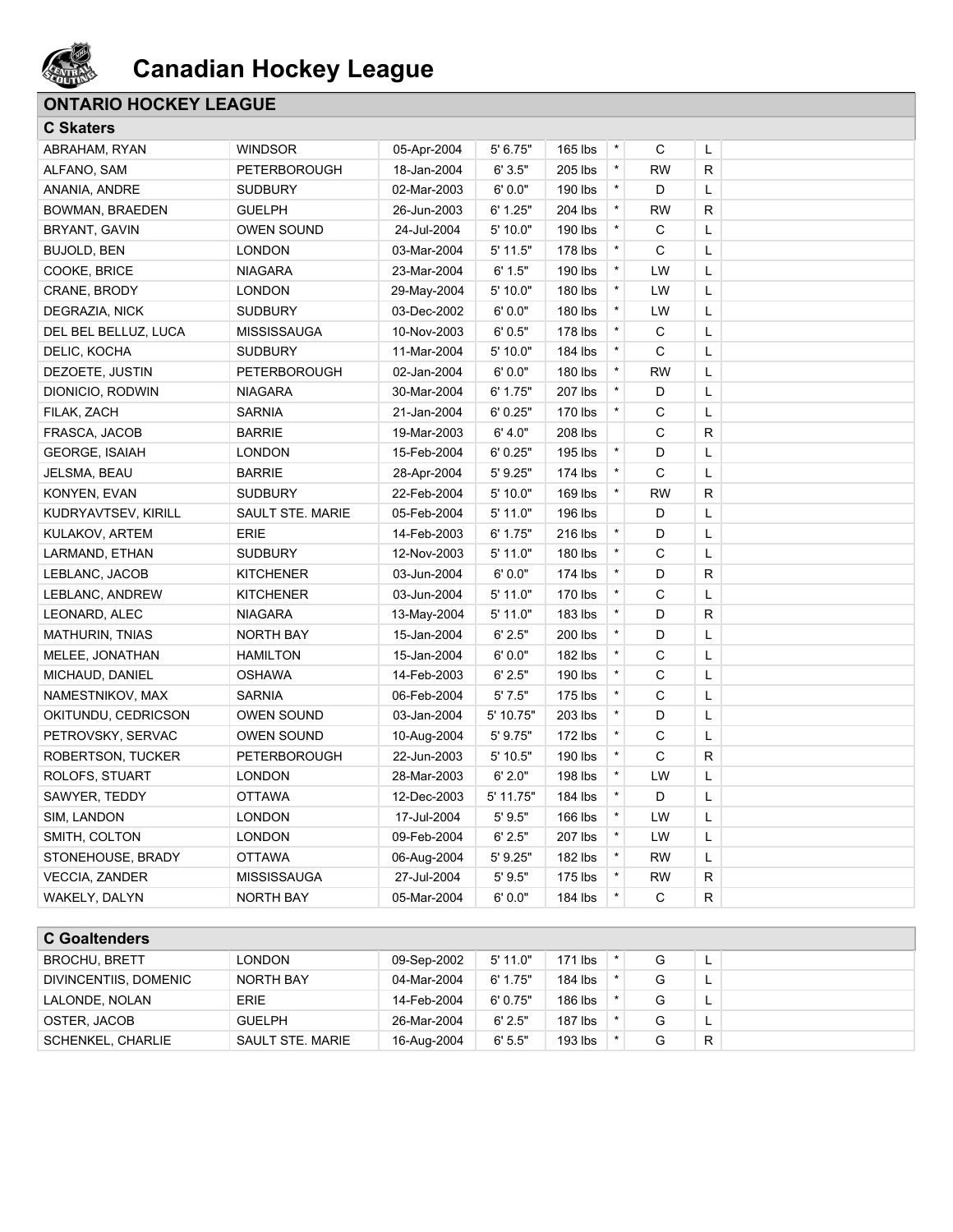

## **ONTARIO HOCKEY LEAGUE**

#### **C Skaters**

| <b>G</b> Skaters       |                     |             |            |         |          |              |              |  |
|------------------------|---------------------|-------------|------------|---------|----------|--------------|--------------|--|
| ABRAHAM, RYAN          | <b>WINDSOR</b>      | 05-Apr-2004 | 5' 6.75"   | 165 lbs | $^\star$ | С            | L            |  |
| ALFANO, SAM            | <b>PETERBOROUGH</b> | 18-Jan-2004 | 6'3.5"     | 205 lbs | $\star$  | <b>RW</b>    | R            |  |
| ANANIA, ANDRE          | <b>SUDBURY</b>      | 02-Mar-2003 | 6'0.0"     | 190 lbs | $\star$  | D            | Г            |  |
| <b>BOWMAN, BRAEDEN</b> | <b>GUELPH</b>       | 26-Jun-2003 | 6' 1.25"   | 204 lbs | $\star$  | <b>RW</b>    | R            |  |
| BRYANT, GAVIN          | <b>OWEN SOUND</b>   | 24-Jul-2004 | 5' 10.0"   | 190 lbs | $\star$  | C            | Г            |  |
| <b>BUJOLD, BEN</b>     | <b>LONDON</b>       | 03-Mar-2004 | $5'$ 11.5" | 178 lbs | *        | C            | Г            |  |
| COOKE, BRICE           | <b>NIAGARA</b>      | 23-Mar-2004 | 6' 1.5"    | 190 lbs | $\star$  | LW           | Г            |  |
| CRANE, BRODY           | <b>LONDON</b>       | 29-May-2004 | 5' 10.0"   | 180 lbs | $\star$  | LW           | Г            |  |
| DEGRAZIA, NICK         | <b>SUDBURY</b>      | 03-Dec-2002 | 6'0.0"     | 180 lbs | $\star$  | LW           | L            |  |
| DEL BEL BELLUZ, LUCA   | <b>MISSISSAUGA</b>  | 10-Nov-2003 | 6'0.5"     | 178 lbs | $\star$  | C            | Г            |  |
| DELIC, KOCHA           | <b>SUDBURY</b>      | 11-Mar-2004 | 5' 10.0"   | 184 lbs | $\star$  | C            | Г            |  |
| DEZOETE, JUSTIN        | PETERBOROUGH        | 02-Jan-2004 | 6'0.0"     | 180 lbs | $\star$  | <b>RW</b>    | Г            |  |
| DIONICIO, RODWIN       | <b>NIAGARA</b>      | 30-Mar-2004 | 6' 1.75"   | 207 lbs | $\star$  | D            | Г            |  |
| FILAK, ZACH            | <b>SARNIA</b>       | 21-Jan-2004 | 6'0.25"    | 170 lbs | $\star$  | C            | Г            |  |
| FRASCA, JACOB          | <b>BARRIE</b>       | 19-Mar-2003 | 6' 4.0"    | 208 lbs |          | C            | $\mathsf{R}$ |  |
| <b>GEORGE, ISAIAH</b>  | <b>LONDON</b>       | 15-Feb-2004 | 6'0.25"    | 195 lbs | $\star$  | D            | Г            |  |
| JELSMA, BEAU           | <b>BARRIE</b>       | 28-Apr-2004 | 5' 9.25"   | 174 lbs | $\star$  | $\mathsf{C}$ | Г            |  |
| KONYEN, EVAN           | <b>SUDBURY</b>      | 22-Feb-2004 | 5' 10.0"   | 169 lbs | $\star$  | <b>RW</b>    | $\mathsf{R}$ |  |
| KUDRYAVTSEV, KIRILL    | SAULT STE. MARIE    | 05-Feb-2004 | 5' 11.0"   | 196 lbs |          | D            | Г            |  |
| KULAKOV, ARTEM         | <b>ERIE</b>         | 14-Feb-2003 | 6' 1.75"   | 216 lbs | $\star$  | D            | Г            |  |
| LARMAND, ETHAN         | <b>SUDBURY</b>      | 12-Nov-2003 | 5' 11.0"   | 180 lbs | $\star$  | C            | L            |  |
| LEBLANC, JACOB         | <b>KITCHENER</b>    | 03-Jun-2004 | 6'0.0"     | 174 lbs | $\star$  | D            | R            |  |
| LEBLANC, ANDREW        | <b>KITCHENER</b>    | 03-Jun-2004 | $5'$ 11.0" | 170 lbs | $\star$  | C            | Г            |  |
| LEONARD, ALEC          | <b>NIAGARA</b>      | 13-May-2004 | $5'$ 11.0" | 183 lbs | *        | D            | $\mathsf{R}$ |  |
| MATHURIN, TNIAS        | NORTH BAY           | 15-Jan-2004 | 6' 2.5"    | 200 lbs | $\star$  | D            | Г            |  |
| MELEE, JONATHAN        | <b>HAMILTON</b>     | 15-Jan-2004 | 6'0.0"     | 182 lbs | $\star$  | C            | L            |  |
| MICHAUD, DANIEL        | <b>OSHAWA</b>       | 14-Feb-2003 | 6' 2.5"    | 190 lbs | $\star$  | C            | Г            |  |
| NAMESTNIKOV, MAX       | <b>SARNIA</b>       | 06-Feb-2004 | 5'7.5"     | 175 lbs | $\star$  | C            | Г            |  |
| OKITUNDU, CEDRICSON    | <b>OWEN SOUND</b>   | 03-Jan-2004 | 5' 10.75"  | 203 lbs | $\star$  | D            | Г            |  |
| PETROVSKY, SERVAC      | <b>OWEN SOUND</b>   | 10-Aug-2004 | 5' 9.75"   | 172 lbs | $\star$  | C            | Г            |  |
| ROBERTSON, TUCKER      | PETERBOROUGH        | 22-Jun-2003 | $5'$ 10.5" | 190 lbs | $\star$  | C            | R            |  |
| ROLOFS, STUART         | <b>LONDON</b>       | 28-Mar-2003 | 6' 2.0"    | 198 lbs | $\star$  | LW           | Г            |  |
| SAWYER, TEDDY          | <b>OTTAWA</b>       | 12-Dec-2003 | 5' 11.75"  | 184 lbs | $\star$  | D            | L            |  |
| SIM, LANDON            | <b>LONDON</b>       | 17-Jul-2004 | 5'9.5"     | 166 lbs | $\star$  | LW           | Г            |  |
| SMITH, COLTON          | <b>LONDON</b>       | 09-Feb-2004 | 6' 2.5"    | 207 lbs | $\star$  | LW           | L            |  |
| STONEHOUSE, BRADY      | <b>OTTAWA</b>       | 06-Aug-2004 | 5' 9.25"   | 182 lbs | $\star$  | <b>RW</b>    | L            |  |
| <b>VECCIA, ZANDER</b>  | MISSISSAUGA         | 27-Jul-2004 | 5'9.5"     | 175 lbs | $\star$  | <b>RW</b>    | $\mathsf R$  |  |
| WAKELY, DALYN          | <b>NORTH BAY</b>    | 05-Mar-2004 | 6'0.0"     | 184 lbs | *        | C            | R            |  |
|                        |                     |             |            |         |          |              |              |  |
| <b>C</b> Goaltenders   |                     |             |            |         |          |              |              |  |
| <b>BROCHU, BRETT</b>   | <b>LONDON</b>       | 09-Sep-2002 | 5' 11.0"   | 171 lbs | $\star$  | G            | L            |  |

| <b>BROCHU, BRETT</b>  | <b>LONDON</b>    | 09-Sep-2002 | $5'$ 11.0" | 171 lbs   |  |  |
|-----------------------|------------------|-------------|------------|-----------|--|--|
| DIVINCENTIIS, DOMENIC | NORTH BAY        | 04-Mar-2004 | 6' 1.75"   | 184 lbs   |  |  |
| LALONDE, NOLAN        | <b>ERIE</b>      | 14-Feb-2004 | 6'0.75"    | 186 lbs   |  |  |
| OSTER, JACOB          | <b>GUELPH</b>    | 26-Mar-2004 | 6' 2.5"    | $187$ lbs |  |  |
| SCHENKEL, CHARLIE     | SAULT STE, MARIE | 16-Aug-2004 | 6'5.5"     | 193 lbs   |  |  |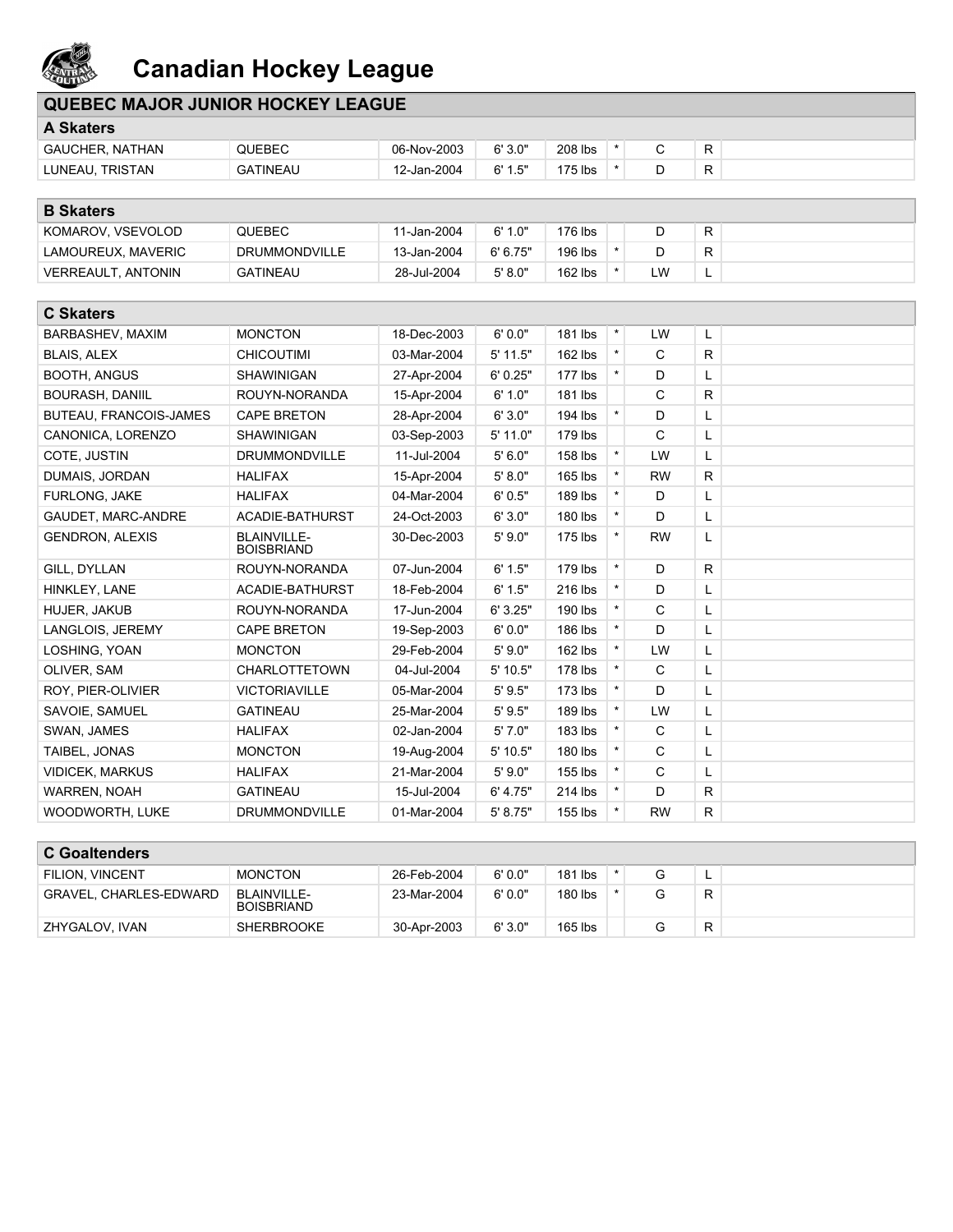

| <b>QUEBEC MAJOR JUNIOR HOCKEY LEAGUE</b> |                                  |             |          |           |          |              |   |  |
|------------------------------------------|----------------------------------|-------------|----------|-----------|----------|--------------|---|--|
| A Skaters                                |                                  |             |          |           |          |              |   |  |
| <b>GAUCHER, NATHAN</b>                   | QUEBEC                           | 06-Nov-2003 | 6'3.0"   | 208 lbs   | $^\star$ | С            | R |  |
| LUNEAU, TRISTAN                          | <b>GATINEAU</b>                  | 12-Jan-2004 | 6' 1.5"  | 175 lbs   | $\star$  | D            | R |  |
|                                          |                                  |             |          |           |          |              |   |  |
| <b>B Skaters</b>                         |                                  |             |          |           |          |              |   |  |
| KOMAROV, VSEVOLOD                        | QUEBEC                           | 11-Jan-2004 | 6' 1.0"  | 176 lbs   |          | D            | R |  |
| LAMOUREUX, MAVERIC                       | DRUMMONDVILLE                    | 13-Jan-2004 | 6' 6.75" | 196 lbs   | $\star$  | D            | R |  |
| <b>VERREAULT, ANTONIN</b>                | <b>GATINEAU</b>                  | 28-Jul-2004 | 5' 8.0"  | 162 lbs   | $\star$  | LW           | L |  |
|                                          |                                  |             |          |           |          |              |   |  |
| <b>C Skaters</b>                         |                                  |             |          |           |          |              |   |  |
| BARBASHEV, MAXIM                         | <b>MONCTON</b>                   | 18-Dec-2003 | 6'0.0"   | 181 lbs   | $\star$  | LW           | L |  |
| <b>BLAIS, ALEX</b>                       | <b>CHICOUTIMI</b>                | 03-Mar-2004 | 5' 11.5" | $162$ lbs | $\star$  | $\mathsf{C}$ | R |  |
| <b>BOOTH, ANGUS</b>                      | SHAWINIGAN                       | 27-Apr-2004 | 6'0.25"  | $177$ lbs | $\star$  | D            | L |  |
| BOURASH, DANIIL                          | ROUYN-NORANDA                    | 15-Apr-2004 | 6' 1.0"  | 181 lbs   |          | C            | R |  |
| BUTEAU, FRANCOIS-JAMES                   | <b>CAPE BRETON</b>               | 28-Apr-2004 | 6'3.0"   | 194 lbs   | $\star$  | D            | L |  |
| CANONICA, LORENZO                        | <b>SHAWINIGAN</b>                | 03-Sep-2003 | 5' 11.0" | 179 lbs   |          | C            | Г |  |
| COTE, JUSTIN                             | <b>DRUMMONDVILLE</b>             | 11-Jul-2004 | 5'6.0"   | 158 lbs   | $\star$  | LW           | L |  |
| DUMAIS, JORDAN                           | <b>HALIFAX</b>                   | 15-Apr-2004 | 5' 8.0"  | 165 lbs   | $\star$  | <b>RW</b>    | R |  |
| FURLONG, JAKE                            | <b>HALIFAX</b>                   | 04-Mar-2004 | 6'0.5"   | 189 lbs   | $\star$  | D            | L |  |
| GAUDET, MARC-ANDRE                       | ACADIE-BATHURST                  | 24-Oct-2003 | 6'3.0"   | 180 lbs   | $\star$  | D            | L |  |
| <b>GENDRON, ALEXIS</b>                   | BLAINVILLE-<br><b>BOISBRIAND</b> | 30-Dec-2003 | 5'9.0"   | 175 lbs   | $\star$  | <b>RW</b>    | L |  |
| GILL, DYLLAN                             | ROUYN-NORANDA                    | 07-Jun-2004 | 6' 1.5"  | 179 lbs   | $\star$  | D            | R |  |
| HINKLEY, LANE                            | ACADIE-BATHURST                  | 18-Feb-2004 | 6' 1.5"  | 216 lbs   | $\star$  | D            | L |  |
| HUJER, JAKUB                             | ROUYN-NORANDA                    | 17-Jun-2004 | 6'3.25"  | 190 lbs   | $\star$  | C            | L |  |
| LANGLOIS, JEREMY                         | <b>CAPE BRETON</b>               | 19-Sep-2003 | 6'0.0"   | 186 lbs   | $\star$  | D            | L |  |
| LOSHING, YOAN                            | <b>MONCTON</b>                   | 29-Feb-2004 | 5'9.0"   | $162$ lbs | $\star$  | LW           | L |  |
| OLIVER, SAM                              | <b>CHARLOTTETOWN</b>             | 04-Jul-2004 | 5' 10.5" | 178 lbs   | $\star$  | C            | L |  |
| ROY, PIER-OLIVIER                        | <b>VICTORIAVILLE</b>             | 05-Mar-2004 | 5'9.5"   | 173 lbs   | $\star$  | D            | L |  |
| SAVOIE, SAMUEL                           | <b>GATINEAU</b>                  | 25-Mar-2004 | 5'9.5"   | 189 lbs   | $\star$  | LW           | L |  |
| SWAN, JAMES                              | <b>HALIFAX</b>                   | 02-Jan-2004 | 5'7.0"   | 183 lbs   | $\star$  | C            | L |  |
| TAIBEL, JONAS                            | <b>MONCTON</b>                   | 19-Aug-2004 | 5' 10.5" | 180 lbs   | $\star$  | C            | L |  |
| VIDICEK, MARKUS                          | <b>HALIFAX</b>                   | 21-Mar-2004 | 5'9.0"   | 155 lbs   | $\star$  | С            | L |  |
| WARREN, NOAH                             | <b>GATINEAU</b>                  | 15-Jul-2004 | 6' 4.75" | 214 lbs   | $\star$  | D            | R |  |
| WOODWORTH, LUKE                          | <b>DRUMMONDVILLE</b>             | 01-Mar-2004 | 5' 8.75" | 155 lbs   | $\star$  | <b>RW</b>    | R |  |
| <b>C</b> Goaltenders                     |                                  |             |          |           |          |              |   |  |
|                                          |                                  |             |          |           |          |              |   |  |

| <b>FILION, VINCENT</b>        | <b>MONCTON</b>                   | 26-Feb-2004 | 6'0.0" | 181 lbs   |  |  | - |  |  |
|-------------------------------|----------------------------------|-------------|--------|-----------|--|--|---|--|--|
| <b>GRAVEL, CHARLES-EDWARD</b> | BLAINVILLE-<br><b>BOISBRIAND</b> | 23-Mar-2004 | 6'0.0" | 180 lbs   |  |  | R |  |  |
| ZHYGALOV, IVAN                | <b>SHERBROOKE</b>                | 30-Apr-2003 | 6'3.0" | $165$ lbs |  |  | R |  |  |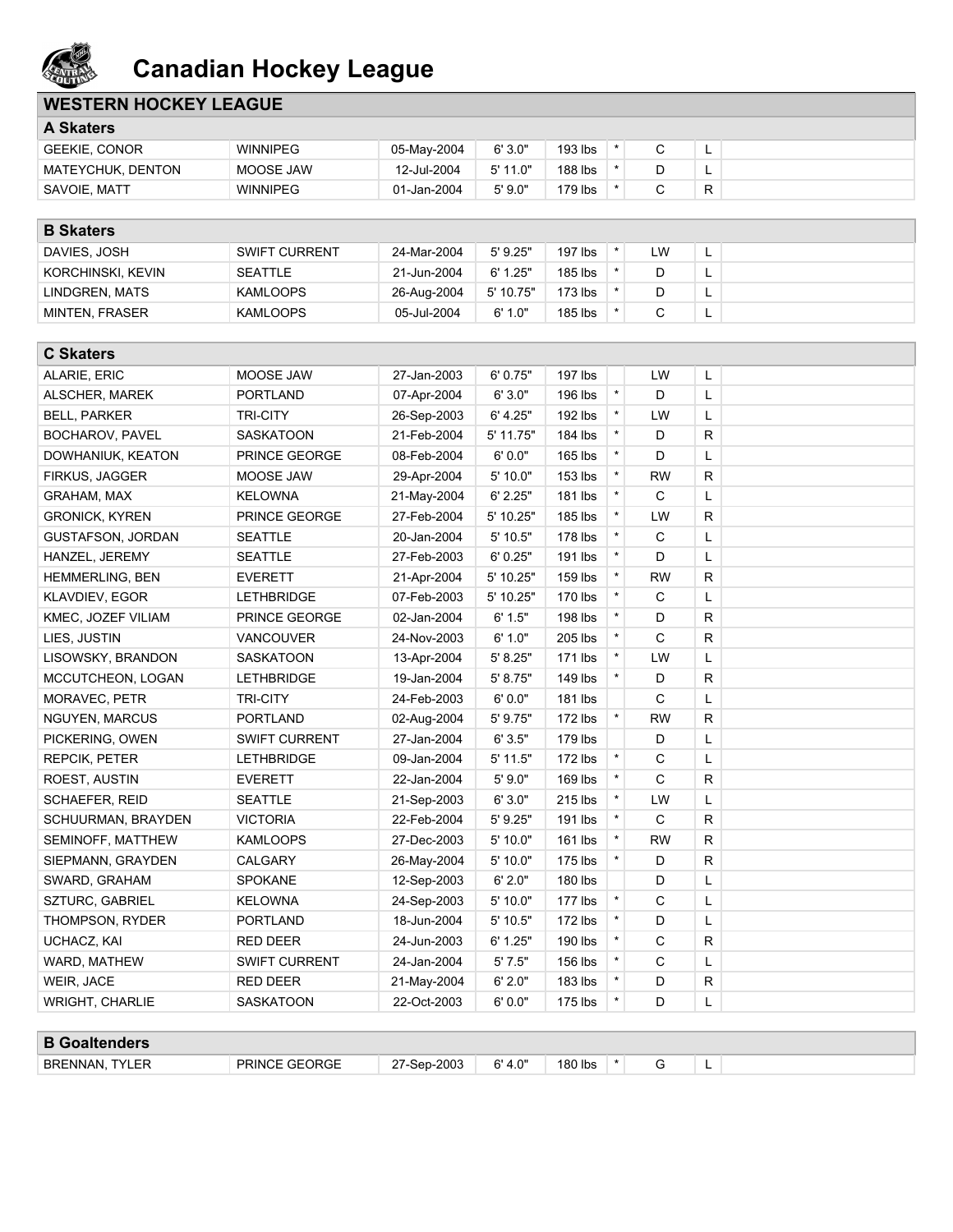

## **WESTERN HOCKEY LEAGUE**

| <b>A Skaters</b>     |                 |             |         |         |  |  |   |  |
|----------------------|-----------------|-------------|---------|---------|--|--|---|--|
| <b>GEEKIE, CONOR</b> | <b>WINNIPEG</b> | 05-May-2004 | 6'3.0"  | 193 lbs |  |  | - |  |
| MATEYCHUK, DENTON    | MOOSE JAW       | 12-Jul-2004 | 5'11.0" | 188 lbs |  |  |   |  |
| SAVOIE, MATT         | WINNIPEG        | 01-Jan-2004 | 5'9.0"  | 179 lbs |  |  | R |  |

| <b>B</b> Skaters  |                      |             |            |           |    |        |  |
|-------------------|----------------------|-------------|------------|-----------|----|--------|--|
| DAVIES, JOSH      | <b>SWIFT CURRENT</b> | 24-Mar-2004 | $5'$ 9.25" | 197 lbs   | LW | $\sim$ |  |
| KORCHINSKI, KEVIN | <b>SEATTLE</b>       | 21-Jun-2004 | 6'1.25"    | 185 lbs   |    | ∽      |  |
| LINDGREN, MATS    | <b>KAMLOOPS</b>      | 26-Aug-2004 | 5' 10.75"  | $173$ lbs |    |        |  |
| MINTEN, FRASER    | <b>KAMLOOPS</b>      | 05-Jul-2004 | 6' 1.0"    | 185 lbs   |    | –      |  |

| <b>C Skaters</b>         |                      |             |           |           |          |              |              |  |
|--------------------------|----------------------|-------------|-----------|-----------|----------|--------------|--------------|--|
| ALARIE, ERIC             | MOOSE JAW            | 27-Jan-2003 | 6' 0.75"  | 197 lbs   |          | LW           | L            |  |
| ALSCHER, MAREK           | <b>PORTLAND</b>      | 07-Apr-2004 | 6'3.0"    | 196 lbs   | $\star$  | D            | Г            |  |
| <b>BELL, PARKER</b>      | <b>TRI-CITY</b>      | 26-Sep-2003 | 6' 4.25"  | 192 lbs   | $\star$  | LW           | L            |  |
| <b>BOCHAROV, PAVEL</b>   | <b>SASKATOON</b>     | 21-Feb-2004 | 5' 11.75" | 184 lbs   | $\star$  | D            | $\mathsf{R}$ |  |
| DOWHANIUK, KEATON        | PRINCE GEORGE        | 08-Feb-2004 | 6'0.0"    | 165 lbs   | $\star$  | D            | Г            |  |
| <b>FIRKUS, JAGGER</b>    | MOOSE JAW            | 29-Apr-2004 | 5' 10.0"  | 153 lbs   | $\star$  | <b>RW</b>    | $\mathsf{R}$ |  |
| GRAHAM, MAX              | <b>KELOWNA</b>       | 21-May-2004 | 6' 2.25"  | 181 lbs   | $\star$  | C            | Г            |  |
| <b>GRONICK, KYREN</b>    | PRINCE GEORGE        | 27-Feb-2004 | 5' 10.25" | 185 lbs   | $\star$  | LW           | R            |  |
| <b>GUSTAFSON, JORDAN</b> | <b>SEATTLE</b>       | 20-Jan-2004 | 5' 10.5"  | 178 lbs   | $\star$  | C            | Г            |  |
| HANZEL, JEREMY           | <b>SEATTLE</b>       | 27-Feb-2003 | 6'0.25"   | 191 lbs   | $\star$  | D            | Г            |  |
| HEMMERLING, BEN          | <b>EVERETT</b>       | 21-Apr-2004 | 5' 10.25" | 159 lbs   | $\star$  | <b>RW</b>    | $\mathsf{R}$ |  |
| KLAVDIEV, EGOR           | <b>LETHBRIDGE</b>    | 07-Feb-2003 | 5' 10.25" | 170 lbs   | $\star$  | C            | L            |  |
| KMEC, JOZEF VILIAM       | PRINCE GEORGE        | 02-Jan-2004 | 6' 1.5"   | 198 lbs   | $\star$  | D            | $\mathsf{R}$ |  |
| LIES, JUSTIN             | <b>VANCOUVER</b>     | 24-Nov-2003 | 6' 1.0"   | 205 lbs   | $\star$  | C            | $\mathsf{R}$ |  |
| LISOWSKY, BRANDON        | SASKATOON            | 13-Apr-2004 | 5' 8.25"  | 171 lbs   | $\star$  | LW           | L            |  |
| MCCUTCHEON, LOGAN        | <b>LETHBRIDGE</b>    | 19-Jan-2004 | 5' 8.75"  | 149 lbs   | $\star$  | D            | $\mathsf{R}$ |  |
| MORAVEC, PETR            | <b>TRI-CITY</b>      | 24-Feb-2003 | 6'0.0"    | 181 lbs   |          | C            | Г            |  |
| <b>NGUYEN, MARCUS</b>    | <b>PORTLAND</b>      | 02-Aug-2004 | 5' 9.75"  | 172 lbs   | $\star$  | <b>RW</b>    | R            |  |
| PICKERING, OWEN          | <b>SWIFT CURRENT</b> | 27-Jan-2004 | 6'3.5"    | 179 lbs   |          | D            | L            |  |
| <b>REPCIK, PETER</b>     | <b>LETHBRIDGE</b>    | 09-Jan-2004 | 5' 11.5"  | 172 lbs   | $\star$  | C            | Г            |  |
| ROEST, AUSTIN            | <b>EVERETT</b>       | 22-Jan-2004 | 5'9.0"    | 169 lbs   | $\star$  | C            | R            |  |
| SCHAEFER, REID           | <b>SEATTLE</b>       | 21-Sep-2003 | 6' 3.0"   | 215 lbs   | $\star$  | LW           | L            |  |
| SCHUURMAN, BRAYDEN       | <b>VICTORIA</b>      | 22-Feb-2004 | 5'9.25"   | 191 lbs   | *        | $\mathsf{C}$ | $\mathsf{R}$ |  |
| SEMINOFF, MATTHEW        | <b>KAMLOOPS</b>      | 27-Dec-2003 | 5' 10.0"  | 161 lbs   | $\star$  | <b>RW</b>    | $\mathsf{R}$ |  |
| SIEPMANN, GRAYDEN        | CALGARY              | 26-May-2004 | 5' 10.0"  | 175 lbs   | $\star$  | D            | $\mathsf{R}$ |  |
| SWARD, GRAHAM            | <b>SPOKANE</b>       | 12-Sep-2003 | 6' 2.0"   | 180 lbs   |          | D            | Г            |  |
| <b>SZTURC, GABRIEL</b>   | <b>KELOWNA</b>       | 24-Sep-2003 | 5' 10.0"  | $177$ lbs | $\star$  | $\mathsf{C}$ | L            |  |
| THOMPSON, RYDER          | <b>PORTLAND</b>      | 18-Jun-2004 | 5' 10.5"  | 172 lbs   | $\star$  | D            | Г            |  |
| UCHACZ, KAI              | RED DEER             | 24-Jun-2003 | 6' 1.25"  | 190 lbs   | $\star$  | C            | $\mathsf{R}$ |  |
| WARD, MATHEW             | <b>SWIFT CURRENT</b> | 24-Jan-2004 | 5'7.5"    | 156 lbs   | $\star$  | C            | Г            |  |
| WEIR, JACE               | <b>RED DEER</b>      | 21-May-2004 | 6' 2.0"   | 183 lbs   | $\star$  | D            | R            |  |
| <b>WRIGHT, CHARLIE</b>   | <b>SASKATOON</b>     | 22-Oct-2003 | 6'0.0"    | 175 lbs   | $^\star$ | D            | L            |  |
|                          |                      |             |           |           |          |              |              |  |
| <b>B</b> Goaltenders     |                      |             |           |           |          |              |              |  |
| <b>BRENNAN, TYLER</b>    | <b>PRINCE GEORGE</b> | 27-Sep-2003 | 6' 4.0"   | 180 lbs   | $\star$  | G            | L            |  |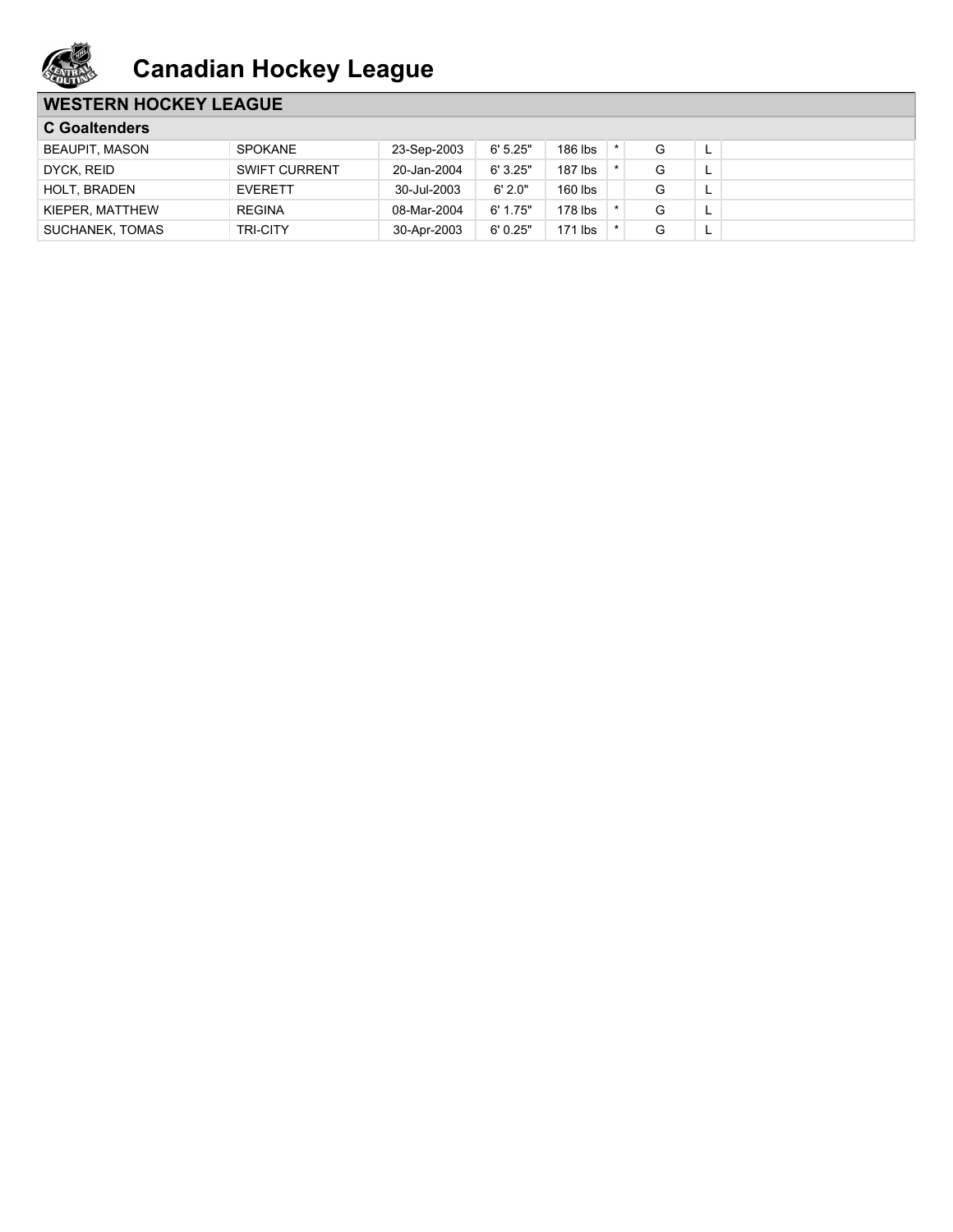

## **WESTERN HOCKEY LEAGUE**

| <b>C</b> Goaltenders |                      |             |          |           |  |   |   |  |
|----------------------|----------------------|-------------|----------|-----------|--|---|---|--|
| BEAUPIT, MASON       | <b>SPOKANE</b>       | 23-Sep-2003 | 6'5.25"  | 186 lbs   |  | G | - |  |
| DYCK, REID           | <b>SWIFT CURRENT</b> | 20-Jan-2004 | 6'3.25"  | 187 lbs   |  |   |   |  |
| <b>HOLT, BRADEN</b>  | <b>EVERETT</b>       | 30-Jul-2003 | 6'2.0"   | 160 lbs   |  |   |   |  |
| KIEPER, MATTHEW      | <b>REGINA</b>        | 08-Mar-2004 | 6' 1.75" | $178$ lbs |  |   |   |  |
| SUCHANEK, TOMAS      | <b>TRI-CITY</b>      | 30-Apr-2003 | 6'0.25"  | $171$ lbs |  | G | - |  |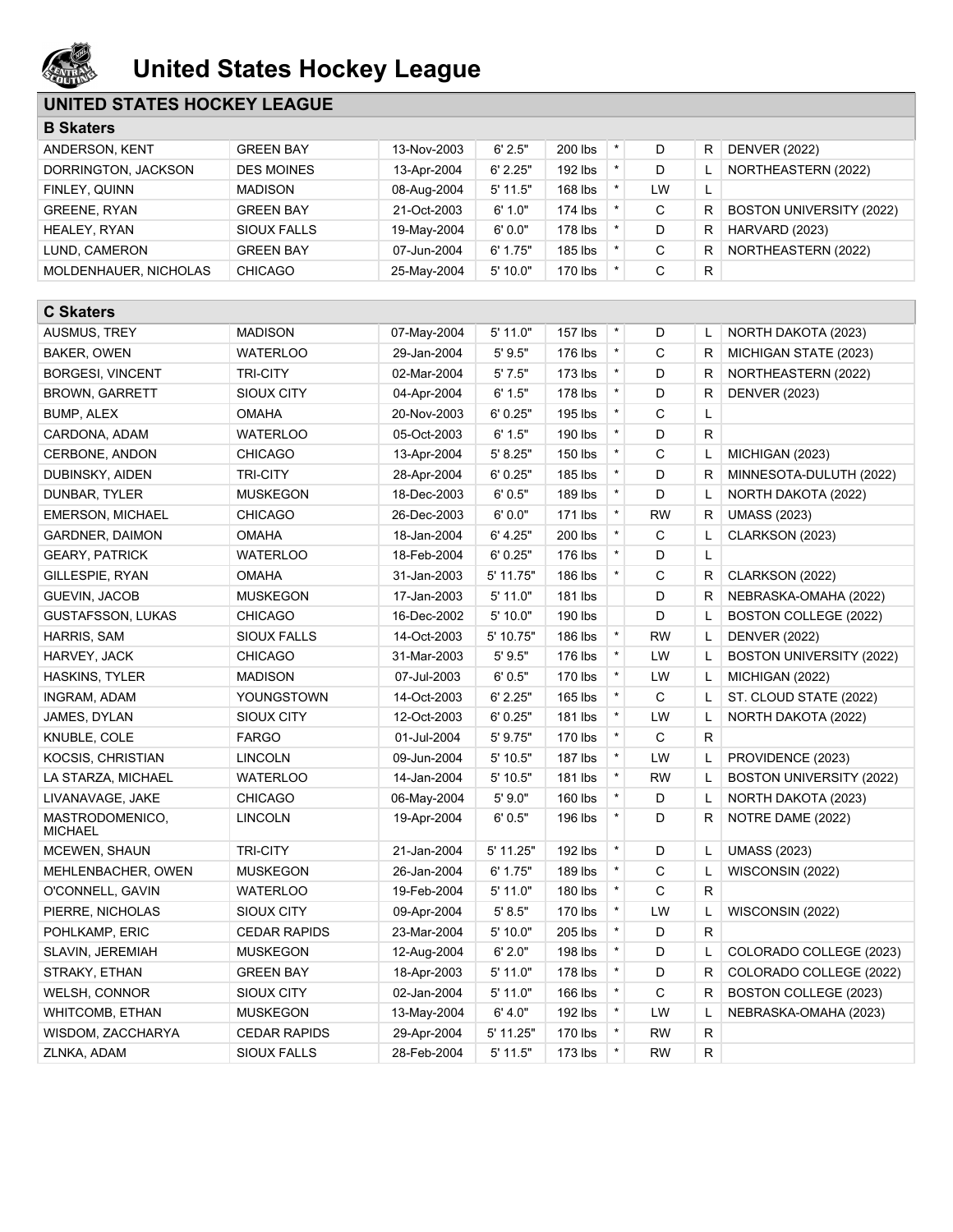

# **United States Hockey League**

## **UNITED STATES HOCKEY LEAGUE**

| <b>B Skaters</b>                  |                                |                            |                          |                    |         |             |              |                          |
|-----------------------------------|--------------------------------|----------------------------|--------------------------|--------------------|---------|-------------|--------------|--------------------------|
| ANDERSON, KENT                    | <b>GREEN BAY</b>               | 13-Nov-2003                | 6' 2.5"                  | 200 lbs            | $\star$ | D           | R            | <b>DENVER (2022)</b>     |
| DORRINGTON, JACKSON               | <b>DES MOINES</b>              | 13-Apr-2004                | 6' 2.25"                 | 192 lbs            | $\star$ | D           | Г            | NORTHEASTERN (2022)      |
| FINLEY, QUINN                     | <b>MADISON</b>                 | 08-Aug-2004                | $5'$ 11.5"               | 168 lbs            | $\star$ | LW          | Г            |                          |
| <b>GREENE, RYAN</b>               | <b>GREEN BAY</b>               | 21-Oct-2003                | 6' 1.0"                  | 174 lbs            | $\star$ | $\mathsf C$ | R            | BOSTON UNIVERSITY (2022) |
| HEALEY, RYAN                      | <b>SIOUX FALLS</b>             | 19-May-2004                | 6'0.0"                   | 178 lbs            | $\star$ | D           | R            | HARVARD (2023)           |
| LUND, CAMERON                     | <b>GREEN BAY</b>               | 07-Jun-2004                | 6' 1.75"                 | 185 lbs            | $\star$ | $\mathsf C$ | R            | NORTHEASTERN (2022)      |
| MOLDENHAUER, NICHOLAS             | <b>CHICAGO</b>                 | 25-May-2004                | 5' 10.0"                 | 170 lbs            | $\star$ | C           | R            |                          |
|                                   |                                |                            |                          |                    |         |             |              |                          |
| <b>C Skaters</b>                  |                                |                            |                          |                    |         |             |              |                          |
| AUSMUS, TREY                      | <b>MADISON</b>                 | 07-May-2004                | $5'$ 11.0"               | 157 lbs            | $\star$ | D           | L            | NORTH DAKOTA (2023)      |
| BAKER, OWEN                       | <b>WATERLOO</b>                | 29-Jan-2004                | 5' 9.5"                  | 176 lbs            | $\star$ | C           | R            | MICHIGAN STATE (2023)    |
| <b>BORGESI, VINCENT</b>           | <b>TRI-CITY</b>                | 02-Mar-2004                | 5'7.5"                   | 173 lbs            | $\star$ | D           | R            | NORTHEASTERN (2022)      |
| <b>BROWN, GARRETT</b>             | SIOUX CITY                     | 04-Apr-2004                | 6' 1.5"                  | 178 lbs            | $\star$ | D           | R            | <b>DENVER (2023)</b>     |
| BUMP, ALEX                        | OMAHA                          | 20-Nov-2003                | 6'0.25"                  | 195 lbs            | $\star$ | C           | Г            |                          |
| CARDONA, ADAM                     | <b>WATERLOO</b>                | 05-Oct-2003                | 6' 1.5"                  | 190 lbs            | $\star$ | D           | R            |                          |
| CERBONE, ANDON                    | <b>CHICAGO</b>                 | 13-Apr-2004                | 5' 8.25"                 | 150 lbs            | $\star$ | C           | Г            | MICHIGAN (2023)          |
| DUBINSKY, AIDEN                   | <b>TRI-CITY</b>                | 28-Apr-2004                | 6' 0.25"                 | 185 lbs            | $\star$ | D           | R            | MINNESOTA-DULUTH (2022)  |
| DUNBAR, TYLER                     | <b>MUSKEGON</b>                | 18-Dec-2003                | 6'0.5"                   | 189 lbs            | $\star$ | D           | Г            | NORTH DAKOTA (2022)      |
| <b>EMERSON, MICHAEL</b>           | <b>CHICAGO</b>                 | 26-Dec-2003                | 6'0.0"                   | 171 lbs            | $\star$ | <b>RW</b>   | R            | <b>UMASS (2023)</b>      |
| <b>GARDNER, DAIMON</b>            | <b>OMAHA</b>                   | 18-Jan-2004                | 6' 4.25"                 | 200 lbs            | $\star$ | $\mathsf C$ | L            | CLARKSON (2023)          |
| <b>GEARY, PATRICK</b>             | <b>WATERLOO</b>                | 18-Feb-2004                | 6'0.25"                  | 176 lbs            | $\star$ | D           | Г            |                          |
| GILLESPIE, RYAN                   | <b>OMAHA</b>                   | 31-Jan-2003                | 5' 11.75"                | 186 lbs            | $\star$ | C           | R            | CLARKSON (2022)          |
| <b>GUEVIN, JACOB</b>              | <b>MUSKEGON</b>                | 17-Jan-2003                | 5' 11.0"                 | 181 lbs            |         | D           | R            | NEBRASKA-OMAHA (2022)    |
| <b>GUSTAFSSON, LUKAS</b>          | <b>CHICAGO</b>                 | 16-Dec-2002                | 5' 10.0"                 | 190 lbs            |         | D           | L            | BOSTON COLLEGE (2022)    |
| HARRIS, SAM                       | SIOUX FALLS                    | 14-Oct-2003                | 5' 10.75"                | 186 lbs            | $\star$ | <b>RW</b>   | Г            | <b>DENVER (2022)</b>     |
| HARVEY, JACK                      | <b>CHICAGO</b>                 | 31-Mar-2003                | 5'9.5"                   | 176 lbs            | $\star$ | LW          | L            | BOSTON UNIVERSITY (2022) |
| HASKINS, TYLER                    | <b>MADISON</b>                 | 07-Jul-2003                | 6' 0.5"                  | 170 lbs            | $\star$ | LW          | L            | MICHIGAN (2022)          |
| INGRAM, ADAM                      | YOUNGSTOWN                     | 14-Oct-2003                | 6' 2.25"                 | 165 lbs            | $\star$ | C           | L            | ST. CLOUD STATE (2022)   |
| JAMES, DYLAN                      | <b>SIOUX CITY</b>              | 12-Oct-2003                | 6' 0.25"                 | 181 lbs            | $\star$ | LW          | L            | NORTH DAKOTA (2022)      |
| KNUBLE, COLE                      | <b>FARGO</b>                   | 01-Jul-2004                | 5' 9.75"                 | 170 lbs            | $\star$ | $\mathsf C$ | $\mathsf{R}$ |                          |
| KOCSIS, CHRISTIAN                 | <b>LINCOLN</b>                 | 09-Jun-2004                | 5' 10.5"                 | 187 lbs            | $\star$ | LW          | Г            | PROVIDENCE (2023)        |
| LA STARZA, MICHAEL                | <b>WATERLOO</b>                | 14-Jan-2004                | 5'10.5"                  | 181 lbs            | $\star$ | <b>RW</b>   | L            | BOSTON UNIVERSITY (2022) |
| LIVANAVAGE, JAKE                  | <b>CHICAGO</b>                 | 06-May-2004                | 5'9.0"                   | 160 lbs            | $\star$ | D           | L            | NORTH DAKOTA (2023)      |
| MASTRODOMENICO,<br><b>MICHAEL</b> | <b>LINCOLN</b>                 | 19-Apr-2004                | 6'0.5"                   | 196 lbs            |         | D           | R            | NOTRE DAME (2022)        |
| MCEWEN, SHAUN                     | <b>TRI-CITY</b>                | 21-Jan-2004                | 5' 11.25"                | 192 lbs            | $\star$ | D           | L            | <b>UMASS (2023)</b>      |
| MEHLENBACHER, OWEN                | <b>MUSKEGON</b>                | 26-Jan-2004                | 6' 1.75"                 | 189 lbs            | $\star$ | С           | L            | WISCONSIN (2022)         |
| O'CONNELL, GAVIN                  | <b>WATERLOO</b>                | 19-Feb-2004                | $5'$ 11.0"               | 180 lbs            | $\star$ | $\mathsf C$ | R            |                          |
| PIERRE, NICHOLAS                  | SIOUX CITY                     | 09-Apr-2004                | 5' 8.5"                  | 170 lbs            | $\star$ | LW          | L            | WISCONSIN (2022)         |
| POHLKAMP, ERIC                    | <b>CEDAR RAPIDS</b>            | 23-Mar-2004                | 5'10.0"                  | 205 lbs            | $\star$ | D           | R            |                          |
| SLAVIN, JEREMIAH                  | <b>MUSKEGON</b>                | 12-Aug-2004                | 6' 2.0"                  | 198 lbs            | $\star$ | D           | L            | COLORADO COLLEGE (2023)  |
|                                   |                                |                            |                          |                    | $\star$ |             |              |                          |
| STRAKY, ETHAN                     | <b>GREEN BAY</b><br>SIOUX CITY | 18-Apr-2003<br>02-Jan-2004 | $5'$ 11.0"<br>$5'$ 11.0" | 178 lbs<br>166 lbs | $\star$ | D<br>C      | R<br>R       | COLORADO COLLEGE (2022)  |
| WELSH, CONNOR                     |                                |                            |                          |                    | $\star$ |             |              | BOSTON COLLEGE (2023)    |
| WHITCOMB, ETHAN                   | MUSKEGON                       | 13-May-2004                | 6' 4.0"                  | 192 lbs            | $\star$ | LW          | L            | NEBRASKA-OMAHA (2023)    |
| WISDOM, ZACCHARYA                 | <b>CEDAR RAPIDS</b>            | 29-Apr-2004                | 5' 11.25"                | 170 lbs            | $\star$ | <b>RW</b>   | R            |                          |
| ZLNKA, ADAM                       | SIOUX FALLS                    | 28-Feb-2004                | $5'$ 11.5"               | $173$ lbs          |         | <b>RW</b>   | R            |                          |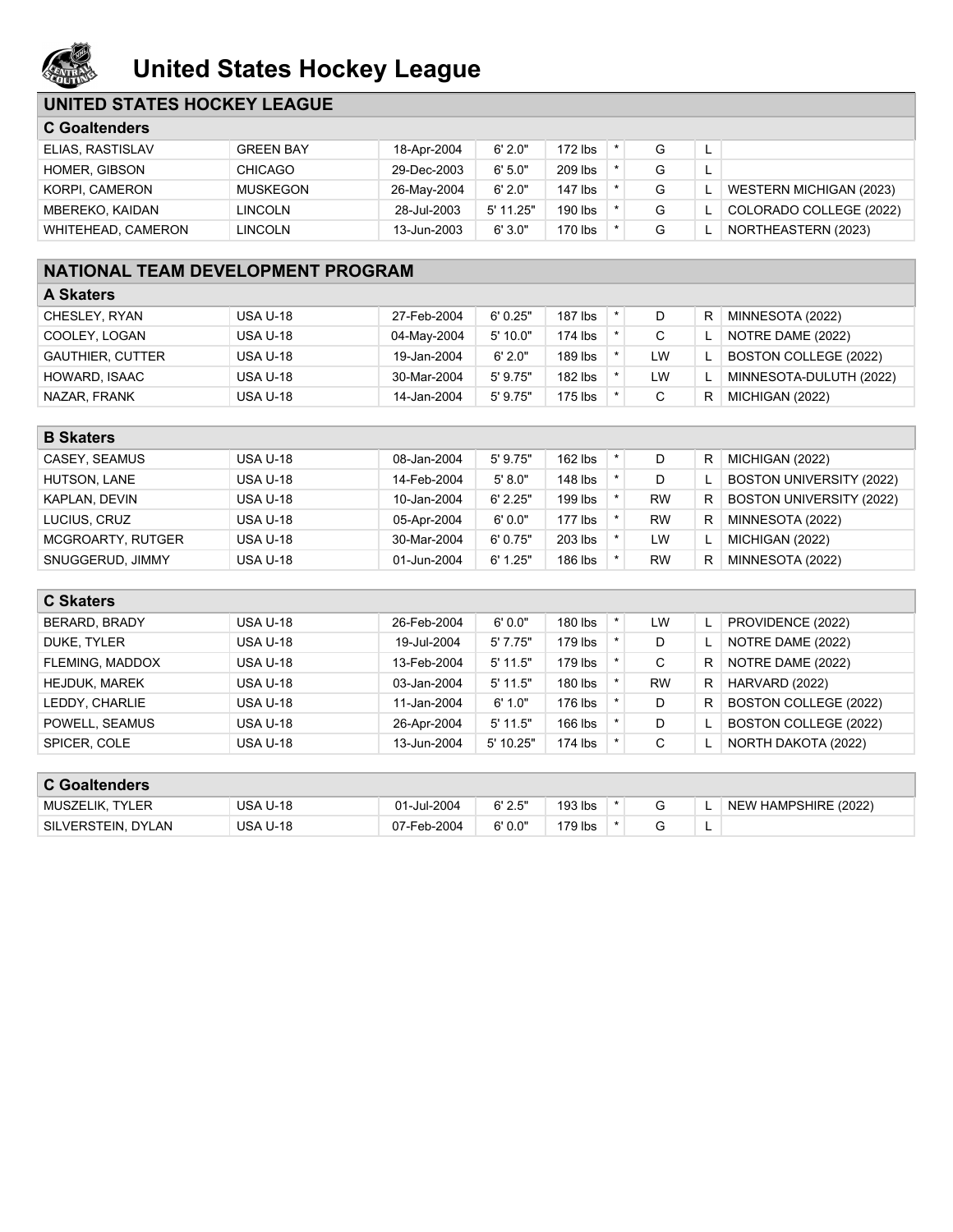

## **United States Hockey League**

## **UNITED STATES HOCKEY LEAGUE**

| <b>C</b> Goaltenders |                  |             |             |           |  |   |  |                         |
|----------------------|------------------|-------------|-------------|-----------|--|---|--|-------------------------|
| ELIAS, RASTISLAV     | <b>GREEN BAY</b> | 18-Apr-2004 | 6'2.0"      | $172$ lbs |  | G |  |                         |
| HOMER, GIBSON        | <b>CHICAGO</b>   | 29-Dec-2003 | 6'5.0"      | $209$ lbs |  | G |  |                         |
| KORPI, CAMERON       | MUSKEGON         | 26-May-2004 | 6'2.0"      | $147$ lbs |  | G |  | WESTERN MICHIGAN (2023) |
| MBEREKO, KAIDAN      | <b>LINCOLN</b>   | 28-Jul-2003 | $5'$ 11.25" | 190 lbs   |  | G |  | COLORADO COLLEGE (2022) |
| WHITEHEAD, CAMERON   | LINCOLN          | 13-Jun-2003 | 6'3.0"      | 170 lbs   |  | G |  | NORTHEASTERN (2023)     |

## **NATIONAL TEAM DEVELOPMENT PROGRAM**

| <b>A Skaters</b>        |                 |             |            |         |  |    |   |                         |  |
|-------------------------|-----------------|-------------|------------|---------|--|----|---|-------------------------|--|
| CHESLEY, RYAN           | <b>USA U-18</b> | 27-Feb-2004 | 6'0.25"    | 187 lbs |  |    | R | MINNESOTA (2022)        |  |
| COOLEY, LOGAN           | <b>USA U-18</b> | 04-May-2004 | 5'10.0"    | 174 lbs |  |    |   | NOTRE DAME (2022)       |  |
| <b>GAUTHIER, CUTTER</b> | <b>USA U-18</b> | 19-Jan-2004 | 6'2.0"     | 189 lbs |  | LW |   | BOSTON COLLEGE (2022)   |  |
| HOWARD, ISAAC           | <b>USA U-18</b> | 30-Mar-2004 | $5'$ 9.75" | 182 lbs |  | LW |   | MINNESOTA-DULUTH (2022) |  |
| NAZAR, FRANK            | <b>USA U-18</b> | 14-Jan-2004 | $5'$ 9.75" | 175 lbs |  |    | R | MICHIGAN (2022)         |  |

| <b>B</b> Skaters  |                 |             |            |         |  |           |   |                                 |  |
|-------------------|-----------------|-------------|------------|---------|--|-----------|---|---------------------------------|--|
| CASEY, SEAMUS     | <b>USA U-18</b> | 08-Jan-2004 | $5'$ 9.75" | 162 lbs |  | D         | R | MICHIGAN (2022)                 |  |
| HUTSON, LANE      | <b>USA U-18</b> | 14-Feb-2004 | 5' 8.0"    | 148 lbs |  |           |   | <b>BOSTON UNIVERSITY (2022)</b> |  |
| KAPLAN, DEVIN     | <b>USA U-18</b> | 10-Jan-2004 | 6' 2.25"   | 199 lbs |  | <b>RW</b> | R | <b>BOSTON UNIVERSITY (2022)</b> |  |
| LUCIUS, CRUZ      | <b>USA U-18</b> | 05-Apr-2004 | 6'0.0"     | 177 lbs |  | <b>RW</b> | R | MINNESOTA (2022)                |  |
| MCGROARTY, RUTGER | <b>USA U-18</b> | 30-Mar-2004 | 6'0.75"    | 203 lbs |  | LW        |   | MICHIGAN (2022)                 |  |
| SNUGGERUD, JIMMY  | <b>USA U-18</b> | 01-Jun-2004 | 6' 1.25"   | 186 lbs |  | <b>RW</b> | R | MINNESOTA (2022)                |  |

| <b>C Skaters</b>     |                 |             |            |           |             |    |                              |
|----------------------|-----------------|-------------|------------|-----------|-------------|----|------------------------------|
| BERARD, BRADY        | <b>USA U-18</b> | 26-Feb-2004 | 6'0.0"     | 180 lbs   | LW          |    | PROVIDENCE (2022)            |
| DUKE, TYLER          | <b>USA U-18</b> | 19-Jul-2004 | 5'7.75"    | $179$ lbs | D           |    | NOTRE DAME (2022)            |
| FLEMING, MADDOX      | <b>USA U-18</b> | 13-Feb-2004 | $5'$ 11.5" | 179 lbs   | C           | R. | NOTRE DAME (2022)            |
| <b>HEJDUK, MAREK</b> | <b>USA U-18</b> | 03-Jan-2004 | $5'$ 11.5" | 180 lbs   | <b>RW</b>   | R. | HARVARD (2022)               |
| LEDDY, CHARLIE       | <b>USA U-18</b> | 11-Jan-2004 | 6' 1.0"    | 176 lbs   | D           | R. | <b>BOSTON COLLEGE (2022)</b> |
| POWELL, SEAMUS       | <b>USA U-18</b> | 26-Apr-2004 | $5'$ 11.5" | 166 lbs   | D           |    | BOSTON COLLEGE (2022)        |
| SPICER, COLE         | <b>USA U-18</b> | 13-Jun-2004 | 5' 10.25"  | 174 lbs   | $\sim$<br>◡ |    | NORTH DAKOTA (2022)          |
|                      |                 |             |            |           |             |    |                              |

| <b>C Goaltenders</b> |                 |             |         |         |  |   |                      |
|----------------------|-----------------|-------------|---------|---------|--|---|----------------------|
| MUSZELIK, TYLER      | <b>USA U-18</b> | 01-Jul-2004 | 6' 2.5" | 193 lbs |  |   | NEW HAMPSHIRE (2022) |
| SILVERSTEIN, DYLAN   | <b>USA U-18</b> | 07-Feb-2004 | 6'0.0"  | '79 lbs |  | - |                      |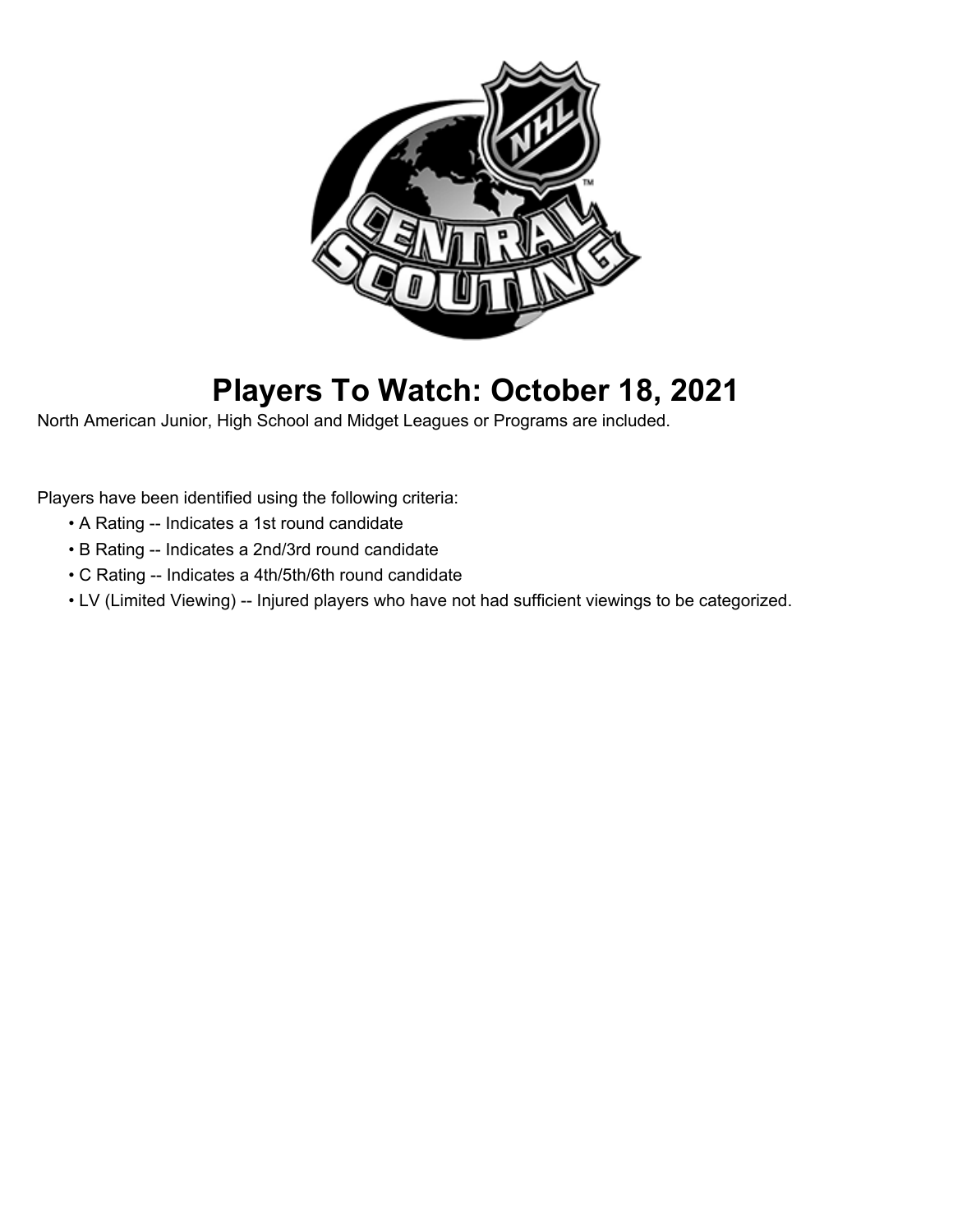

# **Players To Watch: October 18, 2021**

North American Junior, High School and Midget Leagues or Programs are included.

Players have been identified using the following criteria:

- A Rating -- Indicates a 1st round candidate
- B Rating -- Indicates a 2nd/3rd round candidate
- C Rating -- Indicates a 4th/5th/6th round candidate
- LV (Limited Viewing) -- Injured players who have not had sufficient viewings to be categorized.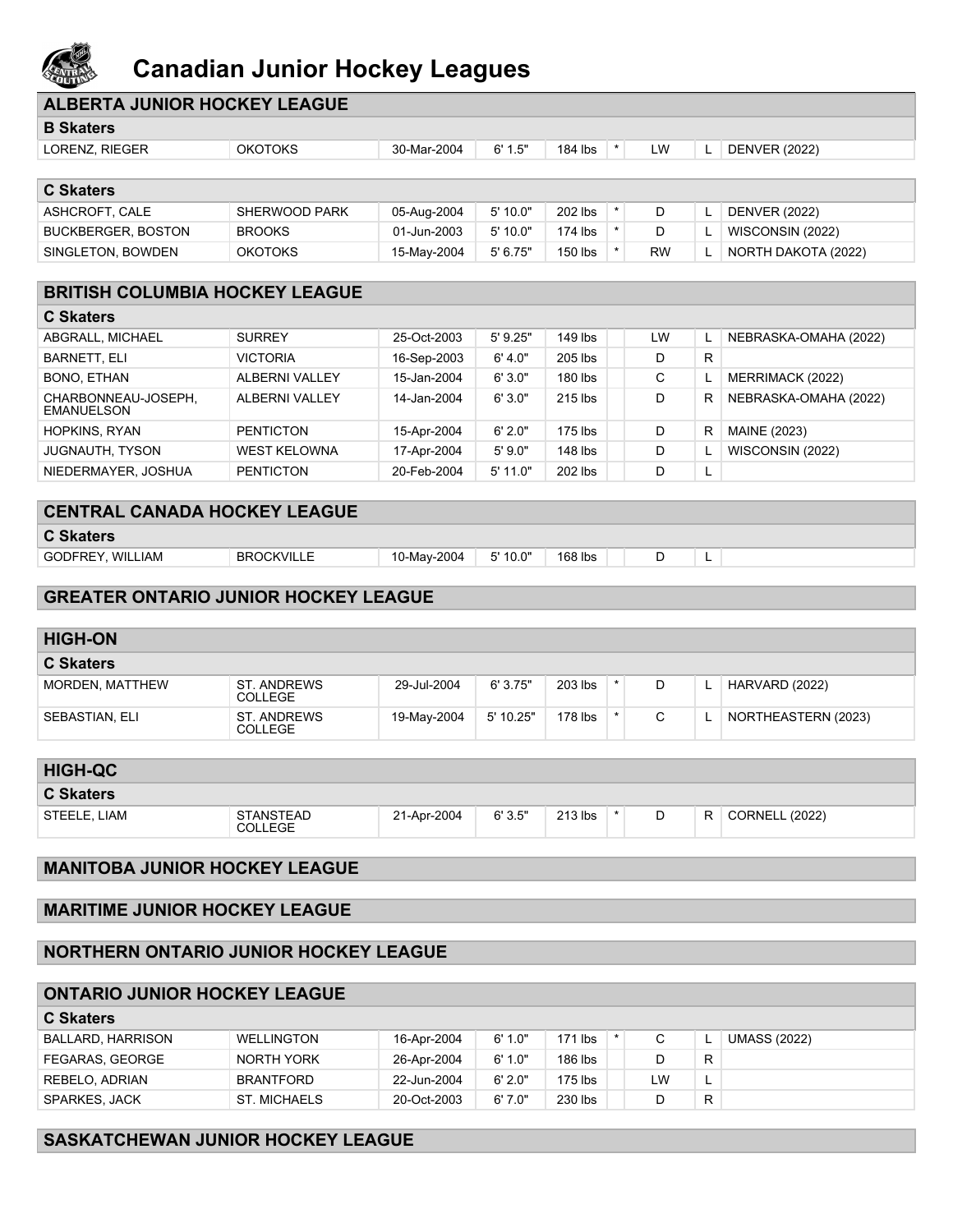

# **Canadian Junior Hockey Leagues**

| <b>ROLL DAY</b>                              |                                      |             |           |         |         |           |    |                       |
|----------------------------------------------|--------------------------------------|-------------|-----------|---------|---------|-----------|----|-----------------------|
| <b>ALBERTA JUNIOR HOCKEY LEAGUE</b>          |                                      |             |           |         |         |           |    |                       |
| <b>B Skaters</b>                             |                                      |             |           |         |         |           |    |                       |
| LORENZ, RIEGER                               | <b>OKOTOKS</b>                       | 30-Mar-2004 | 6' 1.5"   | 184 lbs | $\star$ | LW        | L. | <b>DENVER (2022)</b>  |
| <b>C Skaters</b>                             |                                      |             |           |         |         |           |    |                       |
| ASHCROFT, CALE                               | SHERWOOD PARK                        | 05-Aug-2004 | 5' 10.0"  | 202 lbs | $\star$ | D         | L  | <b>DENVER (2022)</b>  |
| <b>BUCKBERGER, BOSTON</b>                    | <b>BROOKS</b>                        | 01-Jun-2003 | 5' 10.0"  | 174 lbs | $\star$ | D         | L  | WISCONSIN (2022)      |
| SINGLETON, BOWDEN                            | <b>OKOTOKS</b>                       | 15-May-2004 | 5' 6.75"  | 150 lbs | $\star$ | <b>RW</b> | L  | NORTH DAKOTA (2022)   |
| <b>BRITISH COLUMBIA HOCKEY LEAGUE</b>        |                                      |             |           |         |         |           |    |                       |
| <b>C Skaters</b>                             |                                      |             |           |         |         |           |    |                       |
| ABGRALL, MICHAEL                             | <b>SURREY</b>                        | 25-Oct-2003 | 5' 9.25"  | 149 lbs |         | LW        | L  | NEBRASKA-OMAHA (2022) |
| <b>BARNETT, ELI</b>                          | <b>VICTORIA</b>                      | 16-Sep-2003 | 6' 4.0"   | 205 lbs |         | D         | R  |                       |
| BONO, ETHAN                                  | ALBERNI VALLEY                       | 15-Jan-2004 | 6'3.0"    | 180 lbs |         | С         | L  | MERRIMACK (2022)      |
| CHARBONNEAU-JOSEPH,<br><b>EMANUELSON</b>     | ALBERNI VALLEY                       | 14-Jan-2004 | 6'3.0"    | 215 lbs |         | D         | R  | NEBRASKA-OMAHA (2022) |
| <b>HOPKINS, RYAN</b>                         | <b>PENTICTON</b>                     | 15-Apr-2004 | 6' 2.0"   | 175 lbs |         | D         | R  | MAINE (2023)          |
| <b>JUGNAUTH, TYSON</b>                       | <b>WEST KELOWNA</b>                  | 17-Apr-2004 | 5'9.0"    | 148 lbs |         | D         | L  | WISCONSIN (2022)      |
| NIEDERMAYER, JOSHUA                          | <b>PENTICTON</b>                     | 20-Feb-2004 | 5' 11.0"  | 202 lbs |         | D         | L  |                       |
|                                              |                                      |             |           |         |         |           |    |                       |
| <b>CENTRAL CANADA HOCKEY LEAGUE</b>          |                                      |             |           |         |         |           |    |                       |
| <b>C Skaters</b>                             |                                      |             |           |         |         |           |    |                       |
| GODFREY, WILLIAM                             | <b>BROCKVILLE</b>                    | 10-May-2004 | 5' 10.0"  | 168 lbs |         | D         | L  |                       |
| <b>GREATER ONTARIO JUNIOR HOCKEY LEAGUE</b>  |                                      |             |           |         |         |           |    |                       |
|                                              |                                      |             |           |         |         |           |    |                       |
| <b>HIGH-ON</b>                               |                                      |             |           |         |         |           |    |                       |
| <b>C Skaters</b>                             |                                      |             |           |         |         |           |    |                       |
| MORDEN, MATTHEW                              | <b>ST. ANDREWS</b><br><b>COLLEGE</b> | 29-Jul-2004 | 6'3.75"   | 203 lbs | $\ast$  | D         | L  | HARVARD (2022)        |
| SEBASTIAN, ELI                               | <b>ST. ANDREWS</b><br><b>COLLEGE</b> | 19-May-2004 | 5' 10.25" | 178 lbs | $\star$ | С         | L  | NORTHEASTERN (2023)   |
|                                              |                                      |             |           |         |         |           |    |                       |
| <b>HIGH-QC</b>                               |                                      |             |           |         |         |           |    |                       |
| <b>C Skaters</b>                             |                                      |             |           |         |         |           |    |                       |
| STEELE, LIAM                                 | <b>STANSTEAD</b><br>COLLEGE          | 21-Apr-2004 | 6'3.5"    | 213 lbs |         | D         | R  | <b>CORNELL (2022)</b> |
| <b>MANITOBA JUNIOR HOCKEY LEAGUE</b>         |                                      |             |           |         |         |           |    |                       |
|                                              |                                      |             |           |         |         |           |    |                       |
| <b>MARITIME JUNIOR HOCKEY LEAGUE</b>         |                                      |             |           |         |         |           |    |                       |
| <b>NORTHERN ONTARIO JUNIOR HOCKEY LEAGUE</b> |                                      |             |           |         |         |           |    |                       |
|                                              |                                      |             |           |         |         |           |    |                       |
| <b>ONTARIO JUNIOR HOCKEY LEAGUE</b>          |                                      |             |           |         |         |           |    |                       |
| <b>C Skaters</b>                             |                                      |             |           |         |         |           |    |                       |

| o onalcio         |                   |             |         |         |  |    |   |                     |
|-------------------|-------------------|-------------|---------|---------|--|----|---|---------------------|
| BALLARD, HARRISON | <b>WELLINGTON</b> | 16-Apr-2004 | 6' 1.0" | 171 lbs |  |    |   | <b>UMASS (2022)</b> |
| FEGARAS, GEORGE   | NORTH YORK        | 26-Apr-2004 | 6' 1.0" | 186 lbs |  |    |   |                     |
| REBELO, ADRIAN    | <b>BRANTFORD</b>  | 22-Jun-2004 | 6'2.0"  | 175 lbs |  | LW | - |                     |
| SPARKES, JACK     | ST. MICHAELS      | 20-Oct-2003 | 6'7.0"  | 230 lbs |  |    |   |                     |

## **SASKATCHEWAN JUNIOR HOCKEY LEAGUE**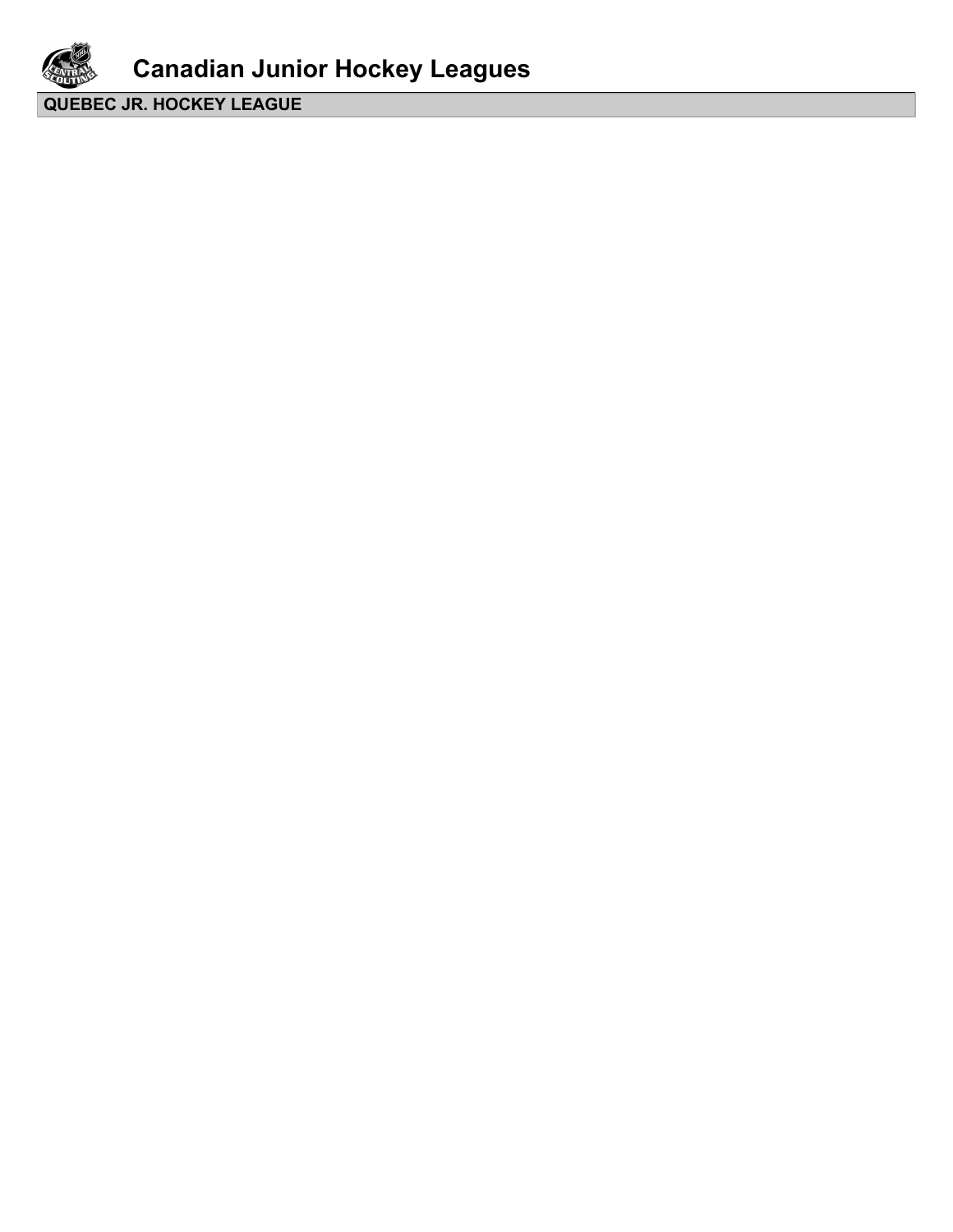

**Canadian Junior Hockey Leagues**

**QUEBEC JR. HOCKEY LEAGUE**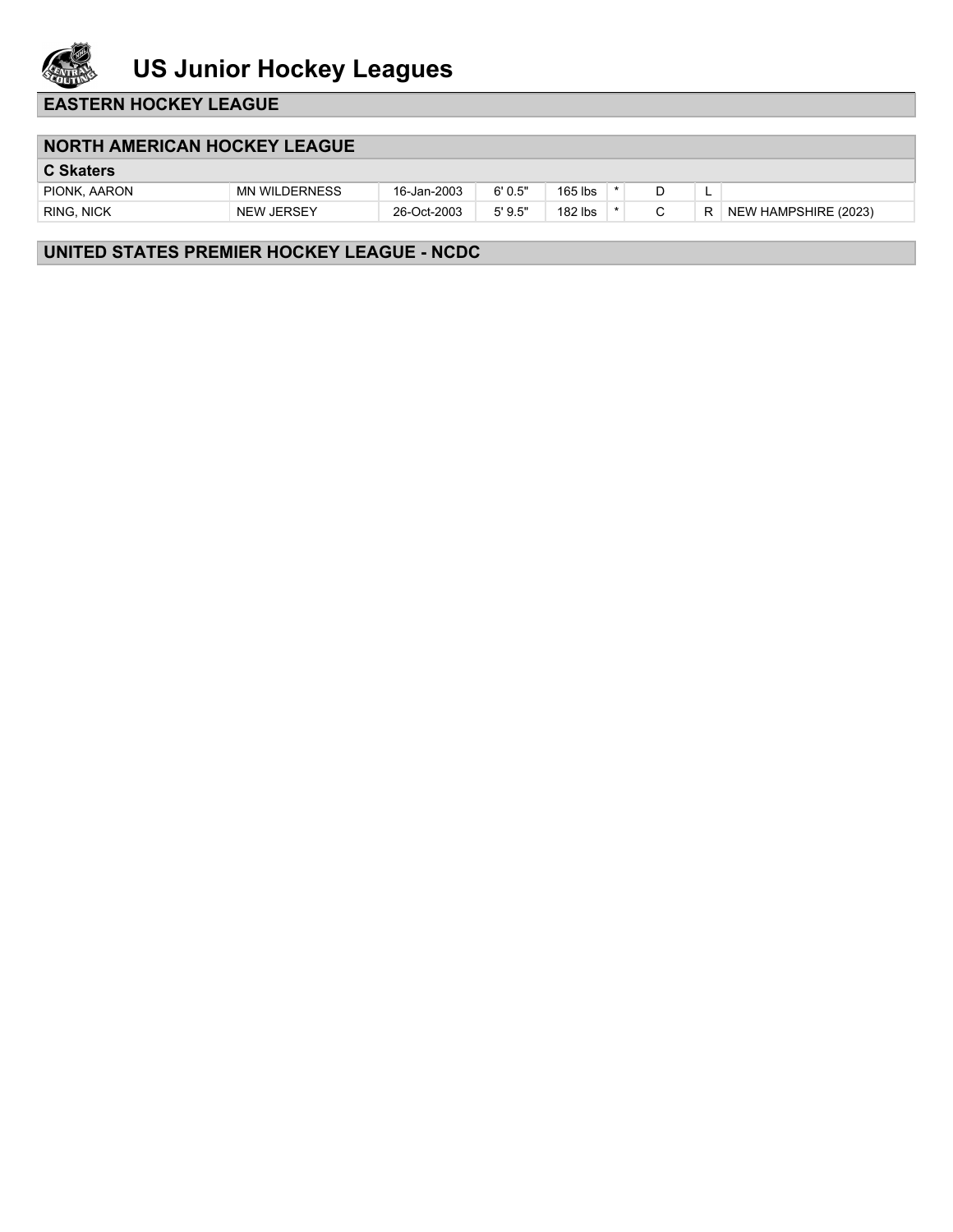

**EASTERN HOCKEY LEAGUE**

#### **NORTH AMERICAN HOCKEY LEAGUE**

| <b>C Skaters</b>  |                      |             |         |         |   |   |                      |
|-------------------|----------------------|-------------|---------|---------|---|---|----------------------|
| PIONK, AARON      | <b>MN WILDERNESS</b> | 16-Jan-2003 | 6'0.5'' | 165 lbs |   | - |                      |
| <b>RING, NICK</b> | <b>NEW JERSEY</b>    | 26-Oct-2003 | 5'9.5'' | 182 lbs | ⌒ | R | NEW HAMPSHIRE (2023) |
|                   |                      |             |         |         |   |   |                      |

### **UNITED STATES PREMIER HOCKEY LEAGUE - NCDC**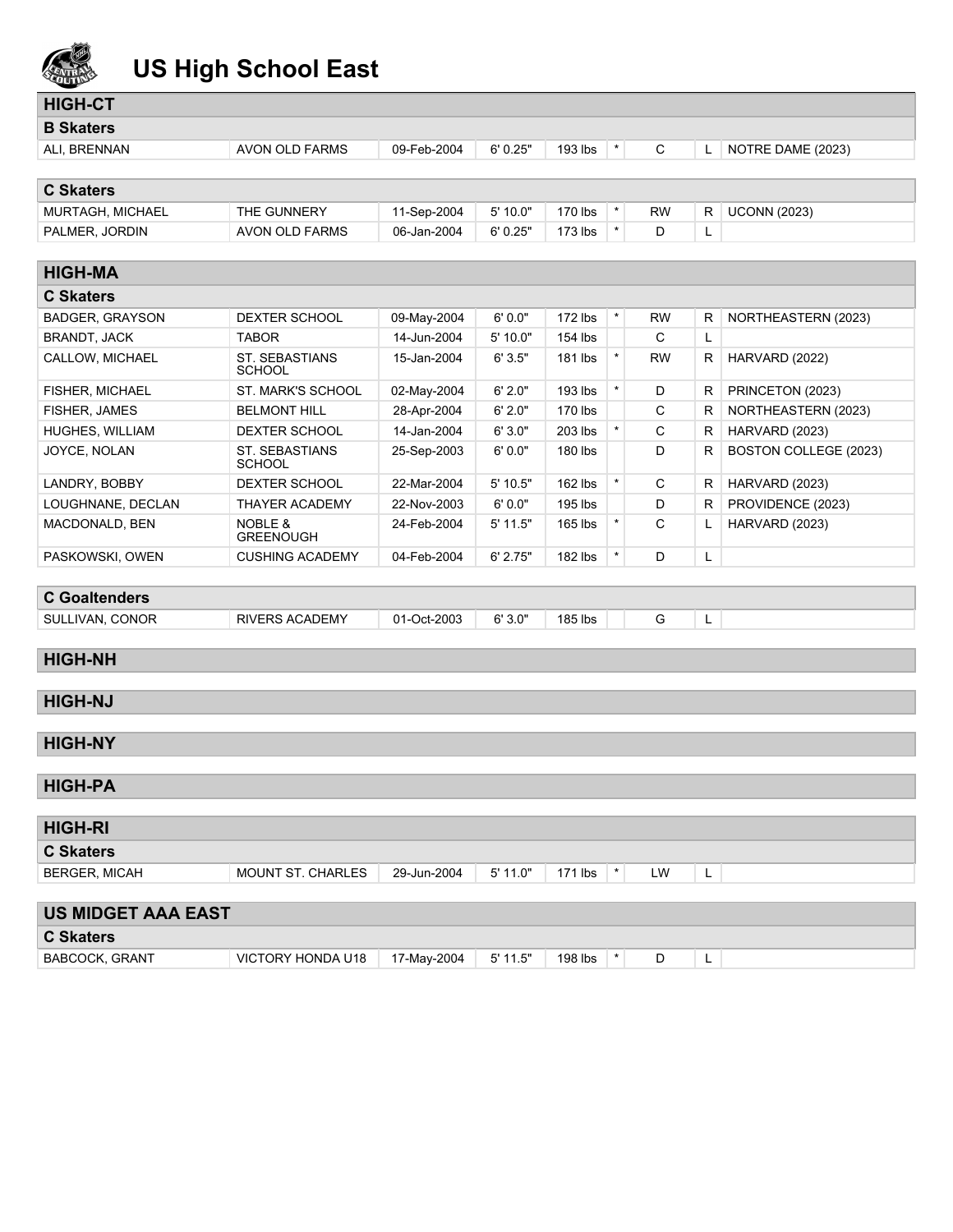

# **US High School East**

| <b>HIGH-CT</b>            |                                        |             |            |           |          |              |   |                       |
|---------------------------|----------------------------------------|-------------|------------|-----------|----------|--------------|---|-----------------------|
| <b>B</b> Skaters          |                                        |             |            |           |          |              |   |                       |
| ALI, BRENNAN              | AVON OLD FARMS                         | 09-Feb-2004 | 6'0.25"    | 193 lbs   |          | C            | L | NOTRE DAME (2023)     |
|                           |                                        |             |            |           |          |              |   |                       |
| <b>C Skaters</b>          |                                        |             |            |           |          |              |   |                       |
| MURTAGH, MICHAEL          | THE GUNNERY                            | 11-Sep-2004 | 5'10.0"    | 170 lbs   | $\star$  | <b>RW</b>    | R | <b>UCONN (2023)</b>   |
| PALMER, JORDIN            | AVON OLD FARMS                         | 06-Jan-2004 | 6'0.25"    | 173 lbs   | $\star$  | D            | L |                       |
|                           |                                        |             |            |           |          |              |   |                       |
| <b>HIGH-MA</b>            |                                        |             |            |           |          |              |   |                       |
| <b>C Skaters</b>          |                                        |             |            |           |          |              |   |                       |
| <b>BADGER, GRAYSON</b>    | <b>DEXTER SCHOOL</b>                   | 09-May-2004 | 6'0.0"     | 172 lbs   | $\star$  | <b>RW</b>    | R | NORTHEASTERN (2023)   |
| <b>BRANDT, JACK</b>       | <b>TABOR</b>                           | 14-Jun-2004 | 5' 10.0"   | 154 lbs   |          | C            | L |                       |
| CALLOW, MICHAEL           | <b>ST. SEBASTIANS</b><br><b>SCHOOL</b> | 15-Jan-2004 | 6'3.5"     | 181 lbs   | $\star$  | <b>RW</b>    | R | HARVARD (2022)        |
| FISHER, MICHAEL           | ST. MARK'S SCHOOL                      | 02-May-2004 | 6' 2.0"    | 193 lbs   | $\star$  | D            | R | PRINCETON (2023)      |
| FISHER, JAMES             | <b>BELMONT HILL</b>                    | 28-Apr-2004 | 6' 2.0"    | 170 lbs   |          | C            | R | NORTHEASTERN (2023)   |
| HUGHES, WILLIAM           | <b>DEXTER SCHOOL</b>                   | 14-Jan-2004 | 6'3.0"     | 203 lbs   | $\star$  | $\mathsf{C}$ | R | HARVARD (2023)        |
| JOYCE, NOLAN              | <b>ST. SEBASTIANS</b><br><b>SCHOOL</b> | 25-Sep-2003 | 6'0.0"     | 180 lbs   |          | D            | R | BOSTON COLLEGE (2023) |
| LANDRY, BOBBY             | DEXTER SCHOOL                          | 22-Mar-2004 | 5' 10.5"   | $162$ lbs | $\star$  | $\mathsf C$  | R | HARVARD (2023)        |
| LOUGHNANE, DECLAN         | <b>THAYER ACADEMY</b>                  | 22-Nov-2003 | 6'0.0"     | 195 lbs   |          | D            | R | PROVIDENCE (2023)     |
| MACDONALD, BEN            | <b>NOBLE &amp;</b><br><b>GREENOUGH</b> | 24-Feb-2004 | $5'$ 11.5" | 165 lbs   | $\ast$   | C            | L | HARVARD (2023)        |
| PASKOWSKI, OWEN           | <b>CUSHING ACADEMY</b>                 | 04-Feb-2004 | 6' 2.75"   | 182 lbs   | $\star$  | D            | L |                       |
|                           |                                        |             |            |           |          |              |   |                       |
| <b>C</b> Goaltenders      |                                        |             |            |           |          |              |   |                       |
| SULLIVAN, CONOR           | <b>RIVERS ACADEMY</b>                  | 01-Oct-2003 | 6'3.0"     | 185 lbs   |          | G            | L |                       |
|                           |                                        |             |            |           |          |              |   |                       |
| <b>HIGH-NH</b>            |                                        |             |            |           |          |              |   |                       |
|                           |                                        |             |            |           |          |              |   |                       |
| <b>HIGH-NJ</b>            |                                        |             |            |           |          |              |   |                       |
|                           |                                        |             |            |           |          |              |   |                       |
| <b>HIGH-NY</b>            |                                        |             |            |           |          |              |   |                       |
|                           |                                        |             |            |           |          |              |   |                       |
| <b>HIGH-PA</b>            |                                        |             |            |           |          |              |   |                       |
| <b>HIGH-RI</b>            |                                        |             |            |           |          |              |   |                       |
| <b>C Skaters</b>          |                                        |             |            |           |          |              |   |                       |
| <b>BERGER, MICAH</b>      | MOUNT ST. CHARLES                      | 29-Jun-2004 | $5'$ 11.0" | 171 lbs   | $\star$  | LW           | L |                       |
| <b>US MIDGET AAA EAST</b> |                                        |             |            |           |          |              |   |                       |
| <b>C Skaters</b>          |                                        |             |            |           |          |              |   |                       |
| <b>BABCOCK, GRANT</b>     | VICTORY HONDA U18                      | 17-May-2004 | $5'$ 11.5" | 198 lbs   | $^\star$ | D            |   |                       |
|                           |                                        |             |            |           |          |              | L |                       |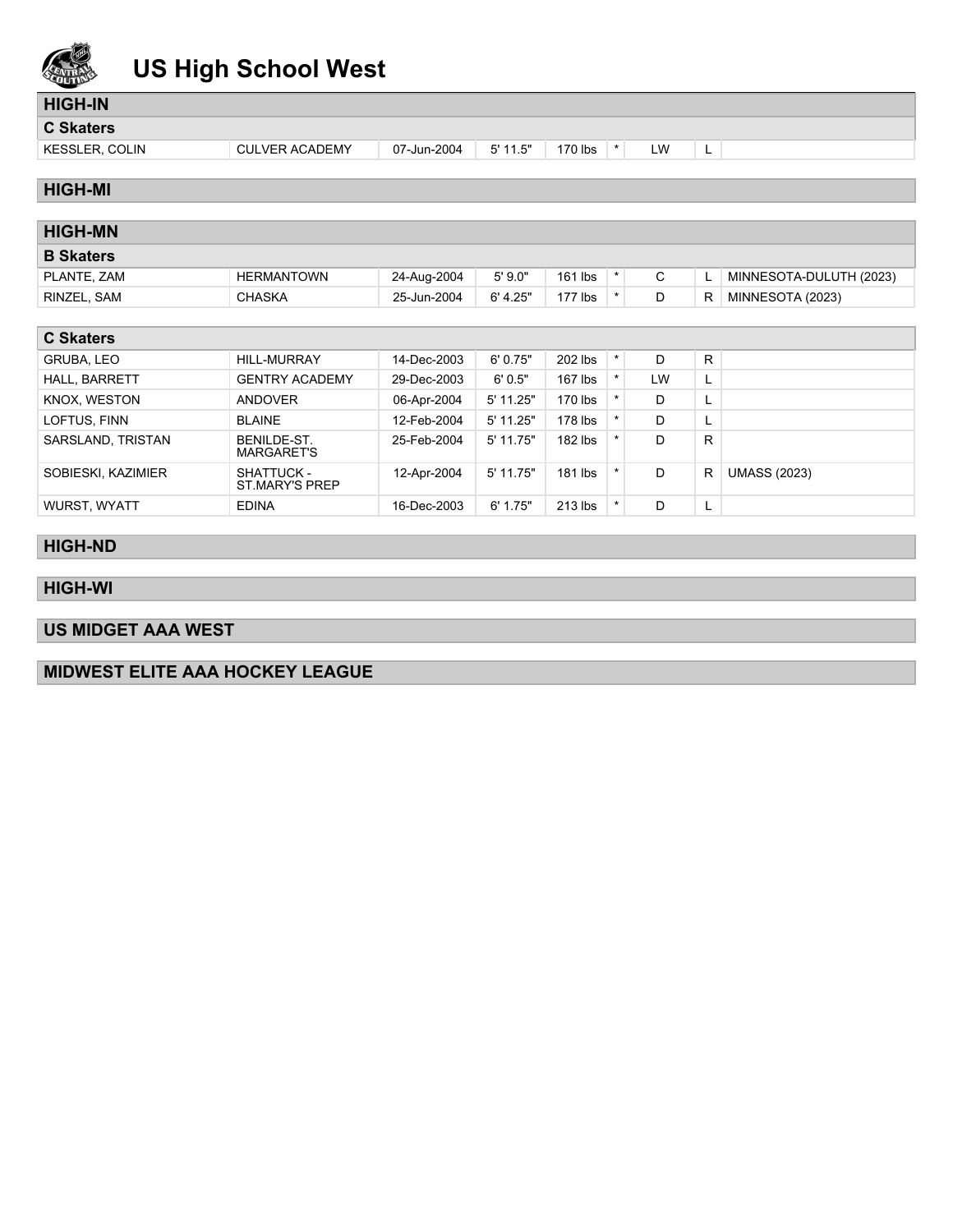

## **US High School West**

## **HIGH-IN**

**C Skaters**

- KESSLER, COLIN CULVER ACADEMY 07-Jun-2004 5'11.5" 170 lbs \* LW L
	-

### **HIGH-MI**

| <b>HIGH-MN</b>   |                   |             |          |         |             |   |                         |
|------------------|-------------------|-------------|----------|---------|-------------|---|-------------------------|
| <b>B</b> Skaters |                   |             |          |         |             |   |                         |
| PLANTE, ZAM      | <b>HERMANTOWN</b> | 24-Aug-2004 | 5'9.0"   | 161 lbs | $\sim$<br>Ü |   | MINNESOTA-DULUTH (2023) |
| RINZEL. SAM      | <b>CHASKA</b>     | 25-Jun-2004 | 6' 4.25" | 177 lbs | D           | R | MINNESOTA (2023)        |
|                  |                   |             |          |         |             |   |                         |

| <b>C Skaters</b>   |                                     |             |             |           |  |    |    |                     |  |
|--------------------|-------------------------------------|-------------|-------------|-----------|--|----|----|---------------------|--|
| GRUBA, LEO         | <b>HILL-MURRAY</b>                  | 14-Dec-2003 | 6'0.75"     | 202 lbs   |  | D  | R  |                     |  |
| HALL, BARRETT      | <b>GENTRY ACADEMY</b>               | 29-Dec-2003 | 6'0.5"      | $167$ lbs |  | LW | L. |                     |  |
| KNOX, WESTON       | ANDOVER                             | 06-Apr-2004 | 5' 11.25"   | 170 lbs   |  | D  | ц. |                     |  |
| LOFTUS, FINN       | BLAINE                              | 12-Feb-2004 | $5'$ 11.25" | 178 lbs   |  | D  | ┗  |                     |  |
| SARSLAND, TRISTAN  | BENILDE-ST.<br><b>MARGARET'S</b>    | 25-Feb-2004 | $5'$ 11.75" | 182 lbs   |  | D  | R  |                     |  |
| SOBIESKI, KAZIMIER | <b>SHATTUCK -</b><br>ST.MARY'S PREP | 12-Apr-2004 | 5' 11.75"   | $181$ lbs |  | D  | R  | <b>UMASS (2023)</b> |  |
| WURST, WYATT       | <b>EDINA</b>                        | 16-Dec-2003 | 6' 1.75"    | $213$ lbs |  | D  | ш. |                     |  |

### **HIGH-ND**

### **HIGH-WI**

## **US MIDGET AAA WEST**

### **MIDWEST ELITE AAA HOCKEY LEAGUE**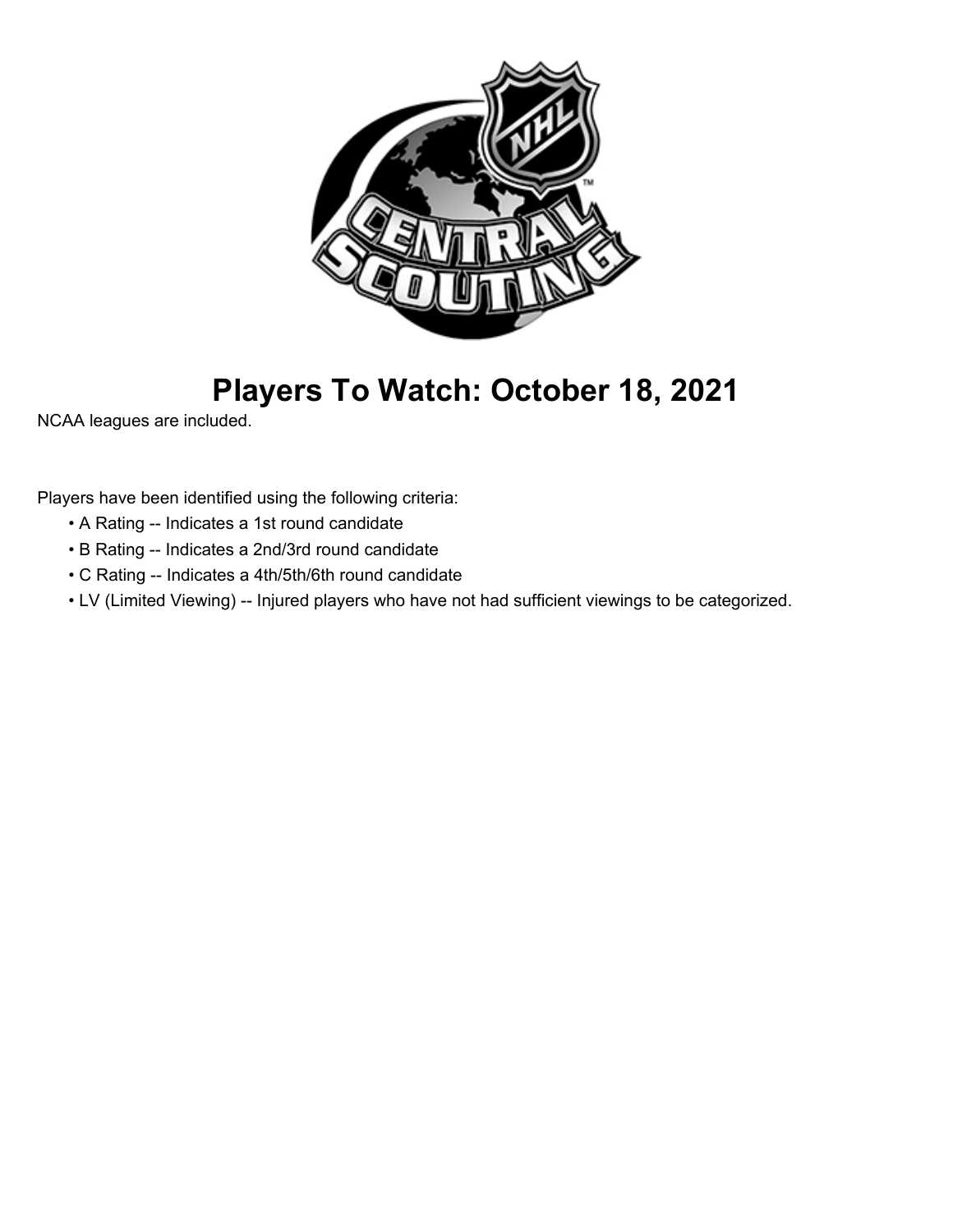

# **Players To Watch: October 18, 2021**

NCAA leagues are included.

Players have been identified using the following criteria:

- A Rating -- Indicates a 1st round candidate
- B Rating -- Indicates a 2nd/3rd round candidate
- C Rating -- Indicates a 4th/5th/6th round candidate
- LV (Limited Viewing) -- Injured players who have not had sufficient viewings to be categorized.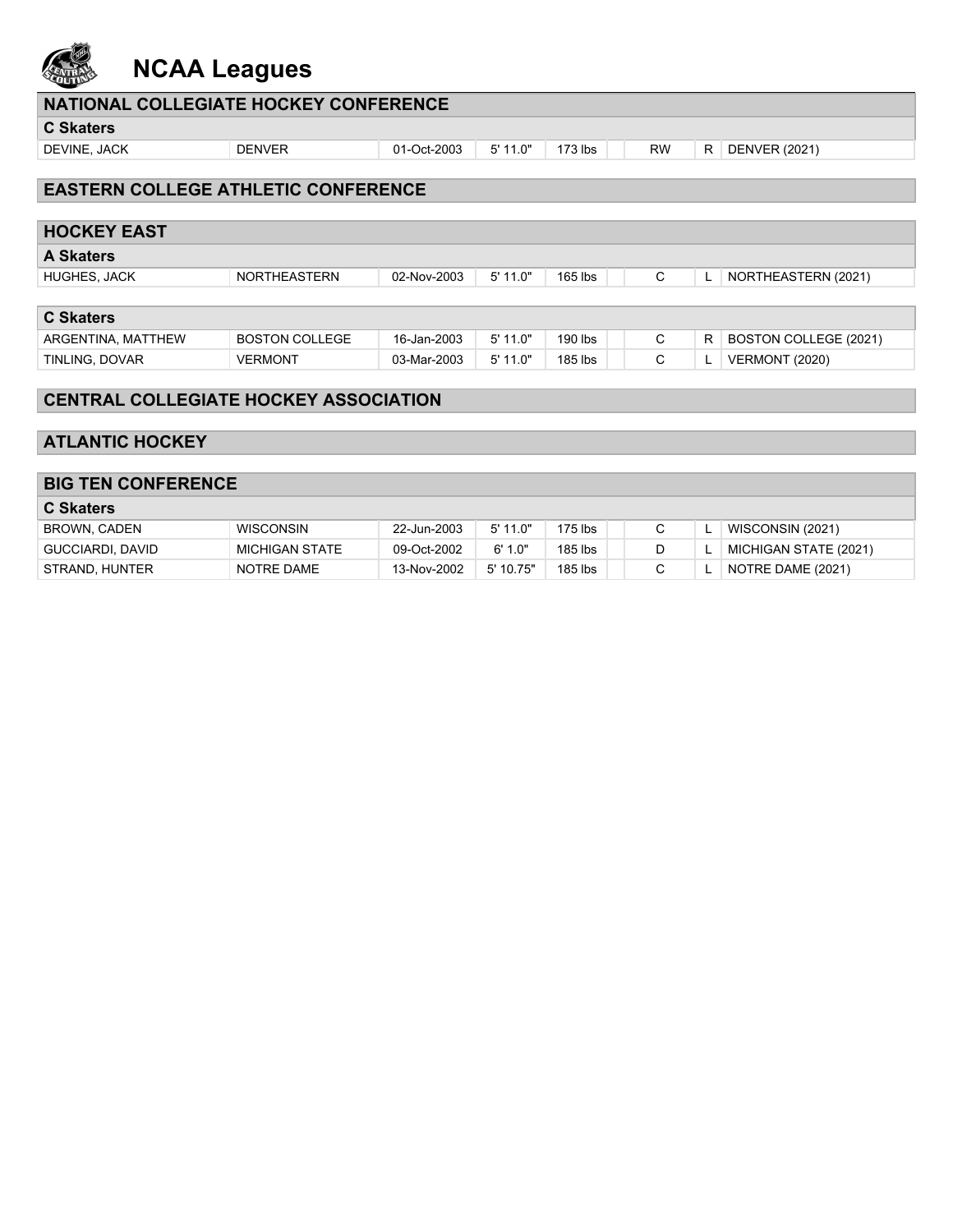

## **NCAA Leagues**

| NATIONAL COLLEGIATE HOCKEY CONFERENCE      |               |             |         |           |           |     |                      |  |  |
|--------------------------------------------|---------------|-------------|---------|-----------|-----------|-----|----------------------|--|--|
| <b>C Skaters</b>                           |               |             |         |           |           |     |                      |  |  |
| DEVINE, JACK                               | <b>DENVER</b> | 01-Oct-2003 | 5'11.0" | $173$ lbs | <b>RW</b> | R I | <b>DENVER (2021)</b> |  |  |
|                                            |               |             |         |           |           |     |                      |  |  |
| <b>EASTERN COLLEGE ATHLETIC CONFERENCE</b> |               |             |         |           |           |     |                      |  |  |
|                                            |               |             |         |           |           |     |                      |  |  |
| <b>HOCKEY EAST</b>                         |               |             |         |           |           |     |                      |  |  |

| <b>A Skaters</b>    |                       |             |            |         |   |   |                       |  |  |
|---------------------|-----------------------|-------------|------------|---------|---|---|-----------------------|--|--|
| <b>HUGHES, JACK</b> | <b>NORTHEASTERN</b>   | 02-Nov-2003 | 5' 11.0"   | 165 lbs |   |   | NORTHEASTERN (2021)   |  |  |
|                     |                       |             |            |         |   |   |                       |  |  |
| <b>C</b> Skaters    |                       |             |            |         |   |   |                       |  |  |
| ARGENTINA, MATTHEW  | <b>BOSTON COLLEGE</b> | 16-Jan-2003 | $5'$ 11.0" | 190 lbs |   | R | BOSTON COLLEGE (2021) |  |  |
| TINLING, DOVAR      | <b>VERMONT</b>        | 03-Mar-2003 | $5'$ 11.0" | 185 lbs | ◡ |   | <b>VERMONT (2020)</b> |  |  |

### **CENTRAL COLLEGIATE HOCKEY ASSOCIATION**

### **ATLANTIC HOCKEY**

### **BIG TEN CONFERENCE**

| <b>C</b> Skaters |                  |             |           |         |  |                       |
|------------------|------------------|-------------|-----------|---------|--|-----------------------|
| BROWN, CADEN     | <b>WISCONSIN</b> | 22-Jun-2003 | 5'11.0"   | 175 lbs |  | WISCONSIN (2021)      |
| GUCCIARDI, DAVID | MICHIGAN STATE   | 09-Oct-2002 | 6'1.0"    | 185 lbs |  | MICHIGAN STATE (2021) |
| STRAND, HUNTER   | NOTRE DAME       | 13-Nov-2002 | 5' 10.75" | 185 lbs |  | NOTRE DAME (2021)     |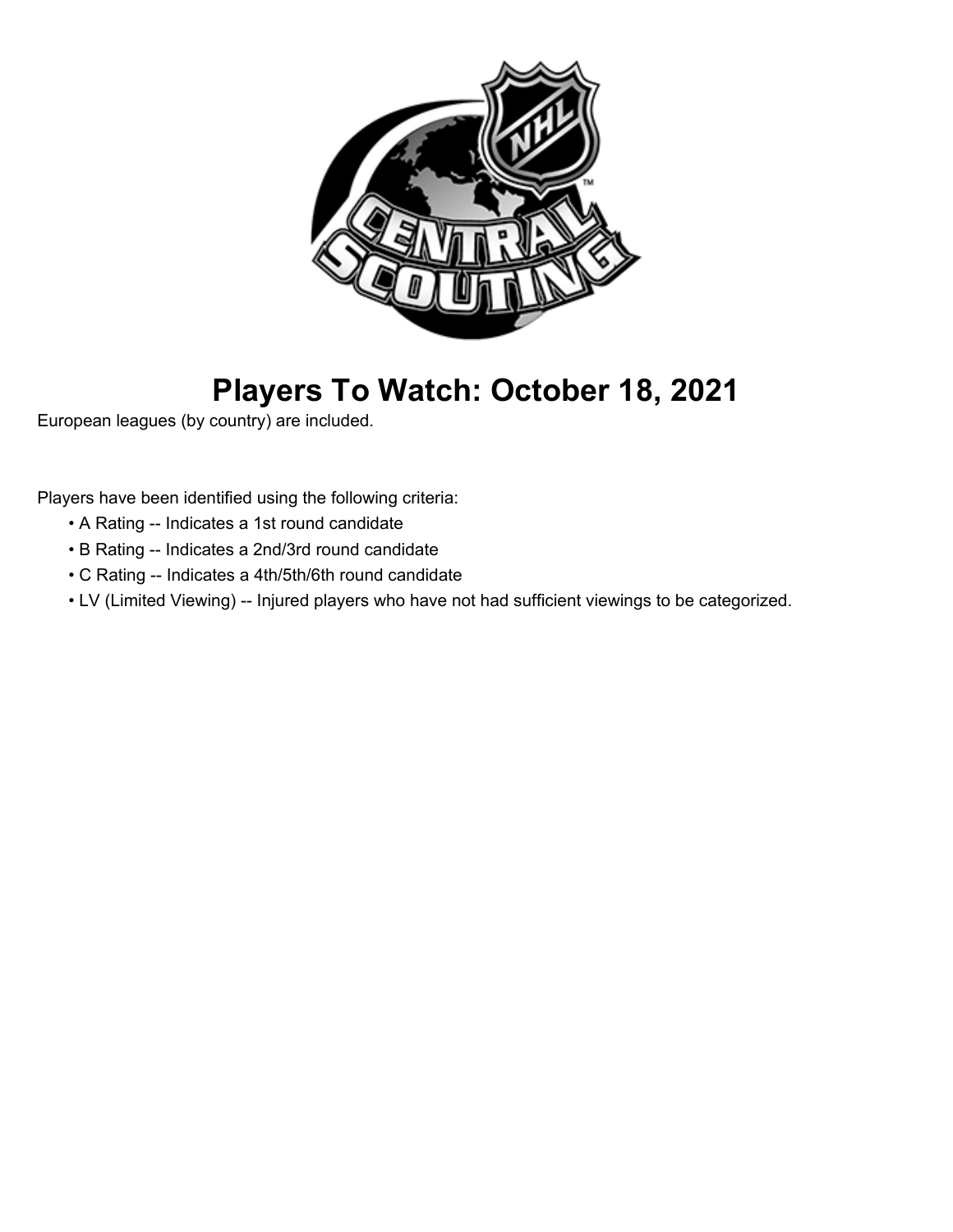

# **Players To Watch: October 18, 2021**

European leagues (by country) are included.

Players have been identified using the following criteria:

- A Rating -- Indicates a 1st round candidate
- B Rating -- Indicates a 2nd/3rd round candidate
- C Rating -- Indicates a 4th/5th/6th round candidate
- LV (Limited Viewing) -- Injured players who have not had sufficient viewings to be categorized.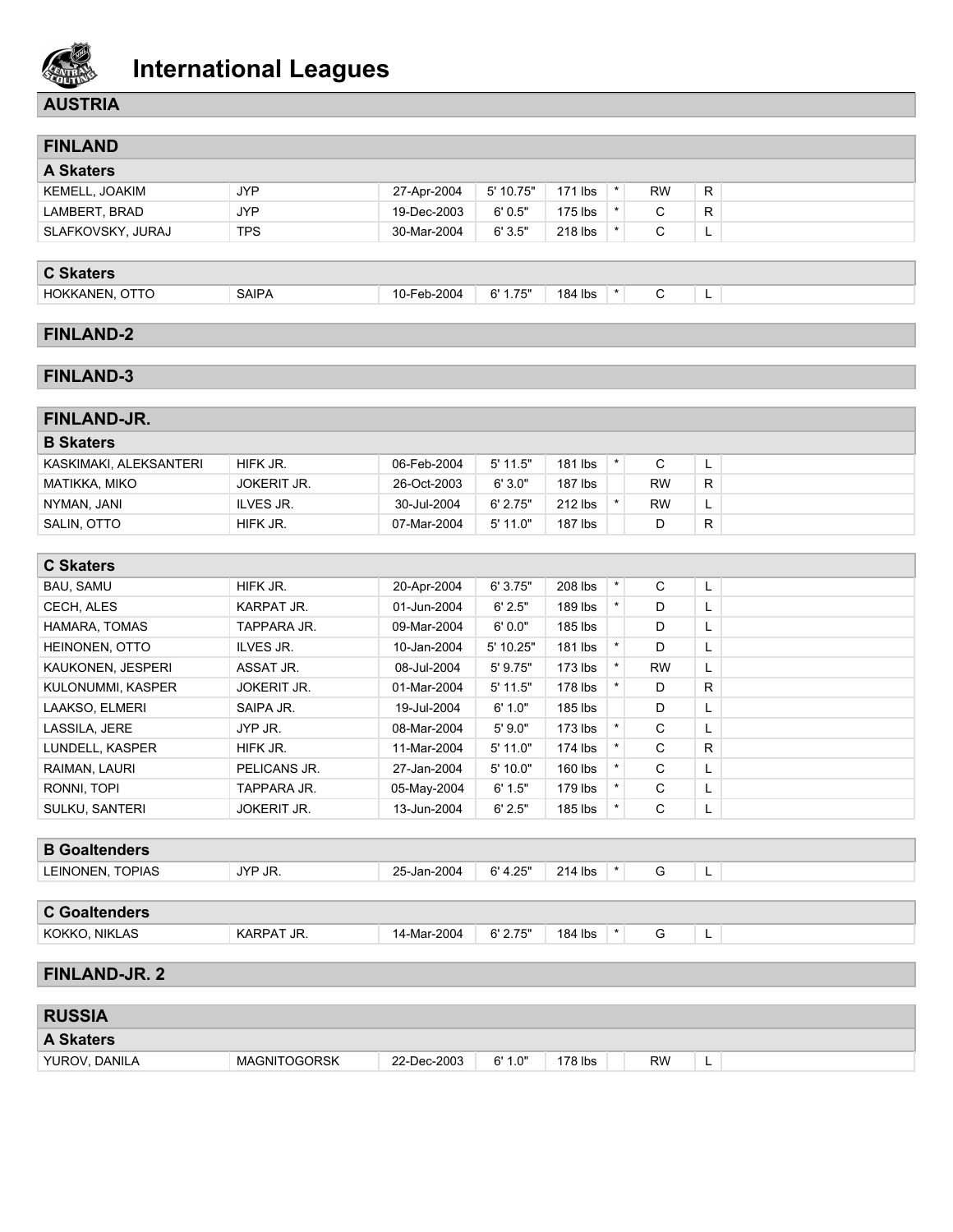

### **AUSTRIA**

| <b>FINLAND</b>                                                                    |    |
|-----------------------------------------------------------------------------------|----|
| <b>A Skaters</b>                                                                  |    |
| 5' 10.75"<br>JYP.<br>171 lbs<br><b>RW</b><br><b>KEMELL, JOAKIM</b><br>27-Apr-2004 | R. |
| JYP<br>$175$ lbs<br>6'0.5"<br>19-Dec-2003<br>LAMBERT, BRAD<br>С                   | R. |
| <b>TPS</b><br>6'3.5"<br>218 lbs<br>SLAFKOVSKY, JURAJ<br>30-Mar-2004               | ┕. |

#### **C Skaters**

| HOKKANEN, OTTO |  |
|----------------|--|
|----------------|--|

AIPA 10-Feb-2004 6'1.75" 184 lbs \* C L

### **FINLAND-2**

### **FINLAND-3**

| FINLAND-JR.            |                    |             |            |         |           |   |
|------------------------|--------------------|-------------|------------|---------|-----------|---|
| <b>B</b> Skaters       |                    |             |            |         |           |   |
| KASKIMAKI. ALEKSANTERI | HIFK JR.           | 06-Feb-2004 | $5'$ 11.5" | 181 lbs | C         | - |
| MATIKKA, MIKO          | <b>JOKERIT JR.</b> | 26-Oct-2003 | 6'3.0"     | 187 lbs | <b>RW</b> | R |
| NYMAN, JANI            | ILVES JR.          | 30-Jul-2004 | 6' 2.75"   | 212 lbs | <b>RW</b> | - |
| SALIN, OTTO            | HIFK JR.           | 07-Mar-2004 | 5'11.0"    | 187 lbs |           | R |

| <b>C Skaters</b>  |                    |             |             |           |         |           |    |  |
|-------------------|--------------------|-------------|-------------|-----------|---------|-----------|----|--|
| <b>BAU, SAMU</b>  | HIFK JR.           | 20-Apr-2004 | 6'3.75"     | 208 lbs   | $\star$ | C         | L  |  |
| CECH. ALES        | <b>KARPAT JR.</b>  | 01-Jun-2004 | 6' 2.5"     | $189$ lbs |         | D         | L. |  |
| HAMARA, TOMAS     | TAPPARA JR.        | 09-Mar-2004 | 6'0.0"      | 185 lbs   |         | D         | L. |  |
| HEINONEN, OTTO    | ILVES JR.          | 10-Jan-2004 | $5'$ 10.25" | 181 lbs   |         | D         | L. |  |
| KAUKONEN, JESPERI | ASSAT JR.          | 08-Jul-2004 | $5'$ 9.75"  | $173$ lbs | $\star$ | <b>RW</b> | L. |  |
| KULONUMMI, KASPER | <b>JOKERIT JR.</b> | 01-Mar-2004 | $5'$ 11.5"  | 178 lbs   |         | D         | R. |  |
| LAAKSO, ELMERI    | SAIPA JR.          | 19-Jul-2004 | 6' 1.0"     | 185 lbs   |         | D         | L. |  |
| LASSILA, JERE     | JYP JR.            | 08-Mar-2004 | 5'9.0"      | $173$ lbs |         | C         | L. |  |
| LUNDELL, KASPER   | HIFK JR.           | 11-Mar-2004 | $5'$ 11.0"  | 174 lbs   |         | C         | R. |  |
| RAIMAN, LAURI     | PELICANS JR.       | 27-Jan-2004 | 5'10.0"     | 160 lbs   | $\star$ | C         | L. |  |
| RONNI, TOPI       | TAPPARA JR.        | 05-May-2004 | 6' 1.5"     | 179 lbs   | $\star$ | C         | ъ. |  |
| SULKU, SANTERI    | <b>JOKERIT JR.</b> | 13-Jun-2004 | 6' 2.5"     | 185 lbs   |         | С         | L. |  |

### **B Goaltenders** LEINONEN, TOPIAS JYP JR. 25-Jan-2004 6'4.25" 214 lbs \* G L

### **C Goaltenders**

#### KOKKO, NIKLAS KARPAT JR. 14-Mar-2004 6' 2.75" | 184 lbs \* G L

#### **FINLAND-JR. 2**

| <b>RUSSIA</b>    |              |             |         |           |           |   |  |
|------------------|--------------|-------------|---------|-----------|-----------|---|--|
| <b>A Skaters</b> |              |             |         |           |           |   |  |
| YUROV, DANILA    | MAGNITOGORSK | 22-Dec-2003 | 6' 1.0" | $178$ lbs | <b>RW</b> | - |  |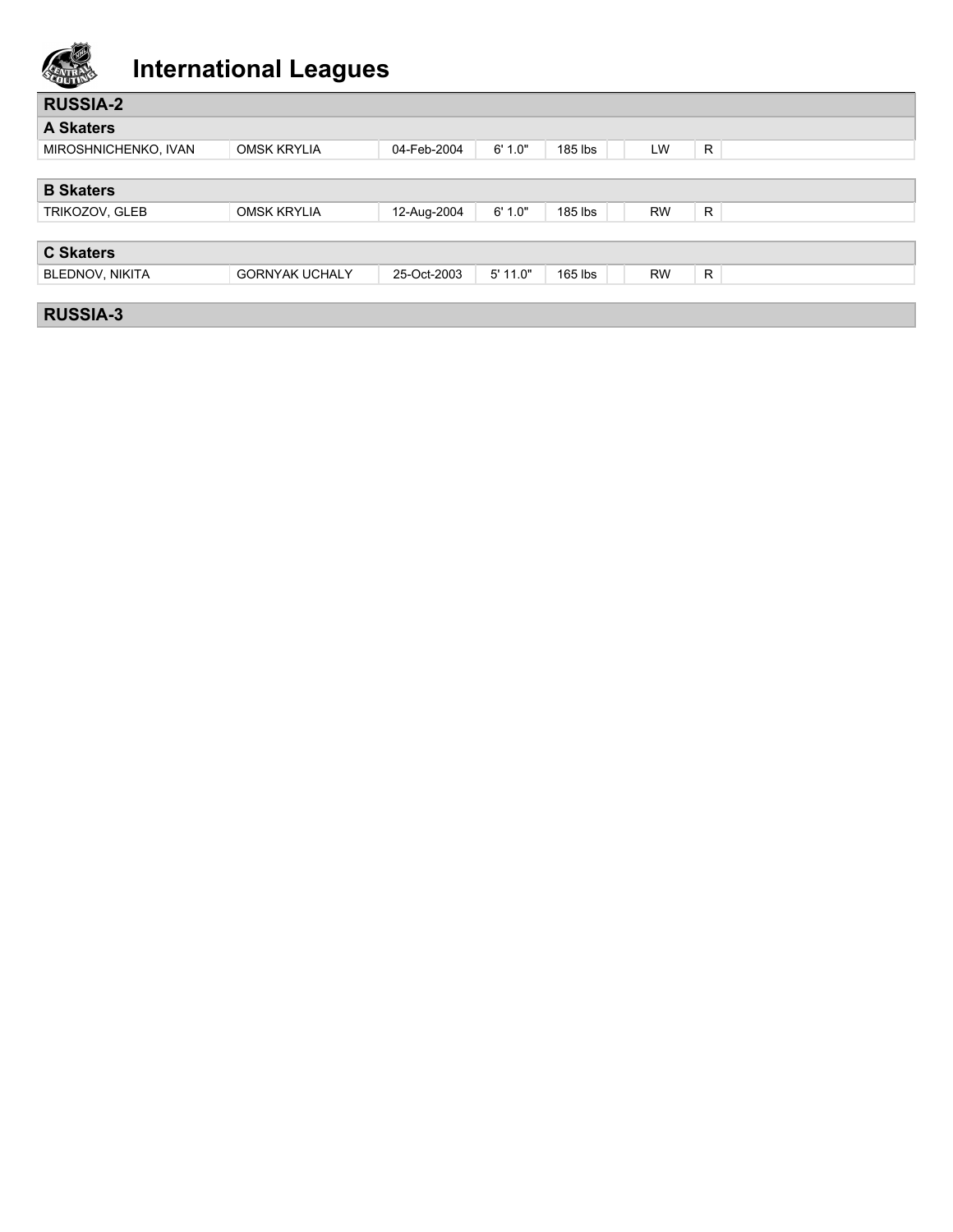

| <b>RUSSIA-2</b>        |                       |             |          |           |           |              |
|------------------------|-----------------------|-------------|----------|-----------|-----------|--------------|
| <b>A Skaters</b>       |                       |             |          |           |           |              |
| MIROSHNICHENKO, IVAN   | <b>OMSK KRYLIA</b>    | 04-Feb-2004 | 6' 1.0"  | 185 lbs   | LW        | R.           |
|                        |                       |             |          |           |           |              |
| <b>B</b> Skaters       |                       |             |          |           |           |              |
| TRIKOZOV, GLEB         | <b>OMSK KRYLIA</b>    | 12-Aug-2004 | 6' 1.0"  | 185 lbs   | <b>RW</b> | R            |
|                        |                       |             |          |           |           |              |
| <b>C Skaters</b>       |                       |             |          |           |           |              |
| <b>BLEDNOV, NIKITA</b> | <b>GORNYAK UCHALY</b> | 25-Oct-2003 | 5' 11.0" | $165$ lbs | <b>RW</b> | $\mathsf{R}$ |
|                        |                       |             |          |           |           |              |
| <b>RUSSIA-3</b>        |                       |             |          |           |           |              |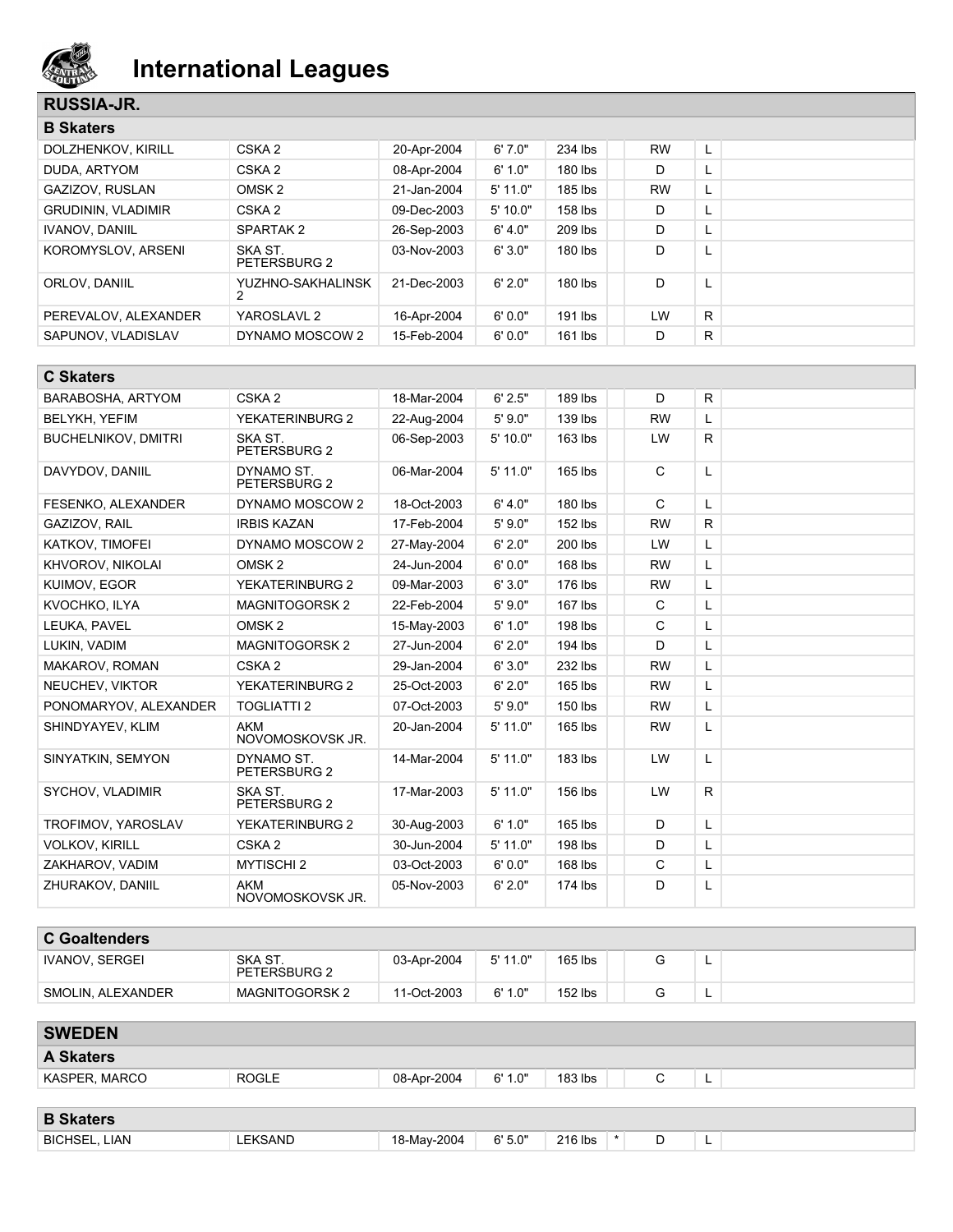

### **RUSSIA-JR.**

| <b>B</b> Skaters          |                         |             |         |           |           |    |
|---------------------------|-------------------------|-------------|---------|-----------|-----------|----|
| DOLZHENKOV. KIRILL        | CSKA <sub>2</sub>       | 20-Apr-2004 | 6'7.0"  | 234 lbs   | <b>RW</b> | L  |
| DUDA, ARTYOM              | CSKA <sub>2</sub>       | 08-Apr-2004 | 6' 1.0" | 180 lbs   | D         | ┗  |
| GAZIZOV, RUSLAN           | OMSK <sub>2</sub>       | 21-Jan-2004 | 5'11.0" | $185$ lbs | <b>RW</b> | ч. |
| <b>GRUDININ, VLADIMIR</b> | CSKA <sub>2</sub>       | 09-Dec-2003 | 5'10.0" | 158 lbs   | D         | ц. |
| <b>IVANOV. DANIIL</b>     | SPARTAK 2               | 26-Sep-2003 | 6' 4.0" | 209 lbs   | D         | ┗  |
| KOROMYSLOV, ARSENI        | SKA ST.<br>PETERSBURG 2 | 03-Nov-2003 | 6'3.0"  | $180$ lbs | D         | ┗  |
| ORLOV. DANIIL             | YUZHNO-SAKHALINSK<br>2  | 21-Dec-2003 | 6'2.0"  | $180$ lbs | D         | L  |
| PEREVALOV, ALEXANDER      | YAROSLAVL 2             | 16-Apr-2004 | 6'0.0"  | 191 lbs   | LW        | R. |
| SAPUNOV. VLADISLAV        | DYNAMO MOSCOW 2         | 15-Feb-2004 | 6'0.0"  | $161$ lbs | D         | R  |

| <b>C Skaters</b>           |                                |             |            |           |              |              |  |
|----------------------------|--------------------------------|-------------|------------|-----------|--------------|--------------|--|
| <b>BARABOSHA, ARTYOM</b>   | CSKA <sub>2</sub>              | 18-Mar-2004 | 6' 2.5"    | 189 lbs   | D            | R            |  |
| <b>BELYKH, YEFIM</b>       | YEKATERINBURG 2                | 22-Aug-2004 | 5'9.0"     | 139 lbs   | <b>RW</b>    | L            |  |
| <b>BUCHELNIKOV, DMITRI</b> | SKA ST.<br>PETERSBURG 2        | 06-Sep-2003 | 5'10.0"    | 163 lbs   | LW           | $\mathsf{R}$ |  |
| DAVYDOV, DANIIL            | DYNAMO ST.<br>PETERSBURG 2     | 06-Mar-2004 | $5'$ 11.0" | 165 lbs   | C            | L            |  |
| FESENKO, ALEXANDER         | DYNAMO MOSCOW 2                | 18-Oct-2003 | 6' 4.0"    | 180 lbs   | $\mathsf{C}$ | Г            |  |
| GAZIZOV, RAIL              | <b>IRBIS KAZAN</b>             | 17-Feb-2004 | 5'9.0"     | 152 lbs   | <b>RW</b>    | R            |  |
| <b>KATKOV, TIMOFEI</b>     | DYNAMO MOSCOW 2                | 27-May-2004 | 6' 2.0"    | 200 lbs   | LW           | L.           |  |
| KHVOROV. NIKOLAI           | OMSK <sub>2</sub>              | 24-Jun-2004 | 6'0.0"     | 168 lbs   | <b>RW</b>    | L            |  |
| KUIMOV, EGOR               | <b>YEKATERINBURG 2</b>         | 09-Mar-2003 | 6'3.0"     | 176 lbs   | <b>RW</b>    | L            |  |
| KVOCHKO, ILYA              | <b>MAGNITOGORSK2</b>           | 22-Feb-2004 | 5'9.0"     | 167 lbs   | $\mathsf{C}$ | L            |  |
| LEUKA. PAVEL               | OMSK <sub>2</sub>              | 15-May-2003 | 6' 1.0"    | 198 lbs   | C            | L            |  |
| LUKIN, VADIM               | <b>MAGNITOGORSK2</b>           | 27-Jun-2004 | 6' 2.0"    | 194 lbs   | D            | L            |  |
| MAKAROV, ROMAN             | CSKA <sub>2</sub>              | 29-Jan-2004 | 6'3.0"     | 232 lbs   | <b>RW</b>    | L            |  |
| NEUCHEV, VIKTOR            | <b>YEKATERINBURG 2</b>         | 25-Oct-2003 | 6' 2.0"    | 165 lbs   | <b>RW</b>    | L            |  |
| PONOMARYOV, ALEXANDER      | <b>TOGLIATTI 2</b>             | 07-Oct-2003 | 5'9.0"     | 150 lbs   | <b>RW</b>    | L            |  |
| SHINDYAYEV, KLIM           | <b>AKM</b><br>NOVOMOSKOVSK JR. | 20-Jan-2004 | 5' 11.0"   | $165$ lbs | <b>RW</b>    | L            |  |
| SINYATKIN, SEMYON          | DYNAMO ST.<br>PETERSBURG 2     | 14-Mar-2004 | $5'$ 11.0" | 183 lbs   | LW           | L            |  |
| SYCHOV, VLADIMIR           | SKA ST.<br>PETERSBURG 2        | 17-Mar-2003 | 5' 11.0"   | 156 lbs   | LW           | R            |  |
| TROFIMOV, YAROSLAV         | <b>YEKATERINBURG 2</b>         | 30-Aug-2003 | 6' 1.0"    | 165 lbs   | D            | L            |  |
| <b>VOLKOV, KIRILL</b>      | CSKA <sub>2</sub>              | 30-Jun-2004 | $5'$ 11.0" | 198 lbs   | D            | Г            |  |
| ZAKHAROV, VADIM            | <b>MYTISCHI 2</b>              | 03-Oct-2003 | 6'0.0"     | 168 lbs   | $\mathsf{C}$ | L.           |  |
| ZHURAKOV, DANIIL           | <b>AKM</b><br>NOVOMOSKOVSK JR. | 05-Nov-2003 | 6' 2.0"    | 174 lbs   | D            | L            |  |

| <b>C</b> Goaltenders |                         |             |            |         |   |  |
|----------------------|-------------------------|-------------|------------|---------|---|--|
| IVANOV. SERGEI       | SKA ST.<br>PETERSBURG 2 | 03-Apr-2004 | $5'$ 11.0" | 165 lbs | - |  |
| SMOLIN, ALEXANDER    | <b>MAGNITOGORSK 2</b>   | 11-Oct-2003 | 6' 1.0"    | 152 lbs | - |  |

| <b>SWEDEN</b>        |                |                                                    |
|----------------------|----------------|----------------------------------------------------|
| <b>A Skaters</b>     |                |                                                    |
| KASPER, MARCO        | <b>ROGLE</b>   | 6' 1.0"<br>$183$ lbs<br>08-Apr-2004<br>$\sim$<br>◡ |
|                      |                |                                                    |
| <b>B</b> Skaters     |                |                                                    |
| <b>BICHSEL, LIAN</b> | <b>LEKSAND</b> | $\star$<br>6'5.0"<br>216 lbs<br>18-May-2004<br>D   |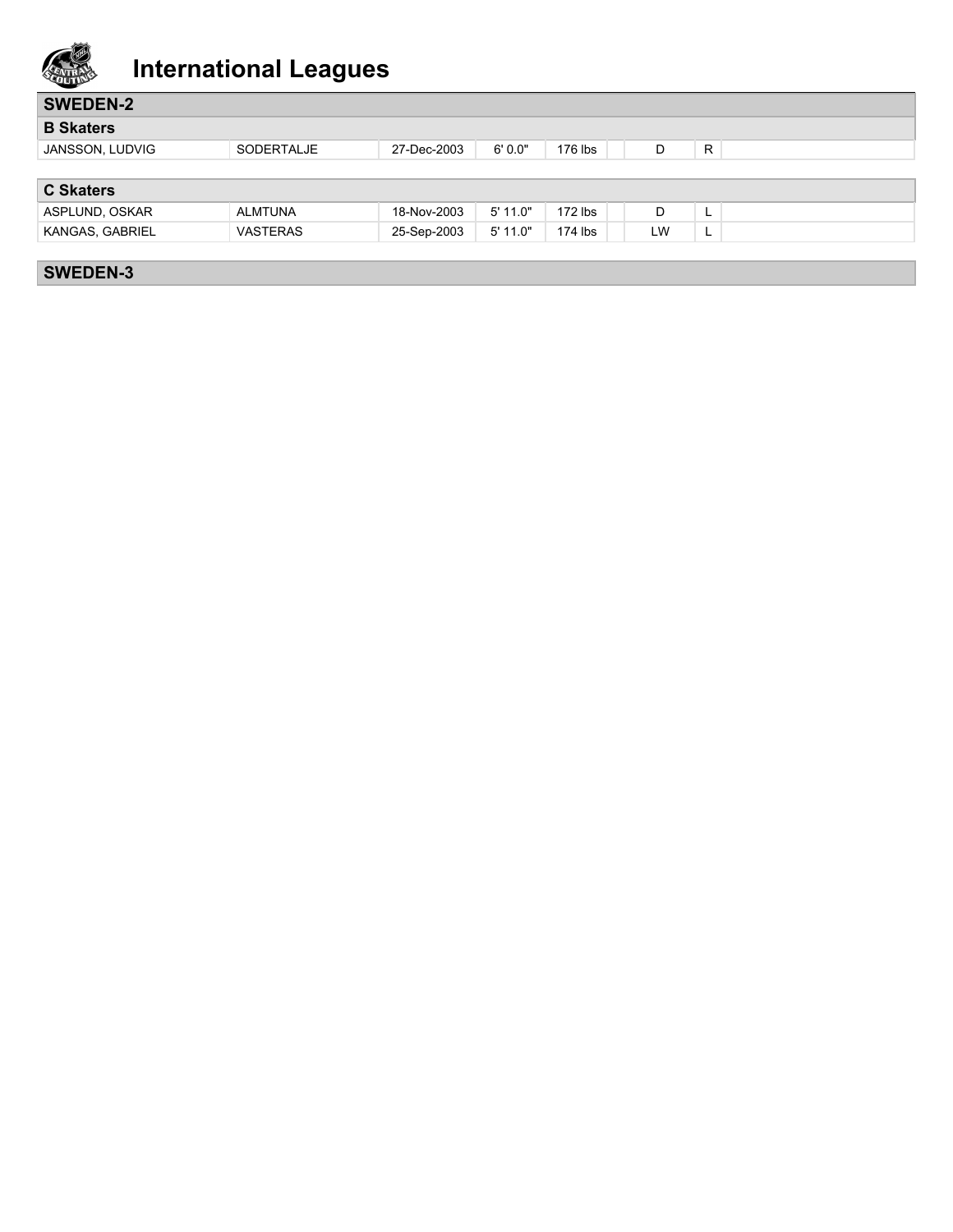

| <b>SWEDEN-2</b>  |                 |             |            |           |    |    |
|------------------|-----------------|-------------|------------|-----------|----|----|
| <b>B</b> Skaters |                 |             |            |           |    |    |
| JANSSON, LUDVIG  | SODERTALJE      | 27-Dec-2003 | 6'0.0"     | 176 lbs   | D  | R  |
|                  |                 |             |            |           |    |    |
| <b>C Skaters</b> |                 |             |            |           |    |    |
| ASPLUND, OSKAR   | <b>ALMTUNA</b>  | 18-Nov-2003 | $5'$ 11.0" | $172$ lbs | D  | ш. |
| KANGAS, GABRIEL  | <b>VASTERAS</b> | 25-Sep-2003 | $5'$ 11.0" | 174 lbs   | LW | L. |
|                  |                 |             |            |           |    |    |
| <b>SWEDEN-3</b>  |                 |             |            |           |    |    |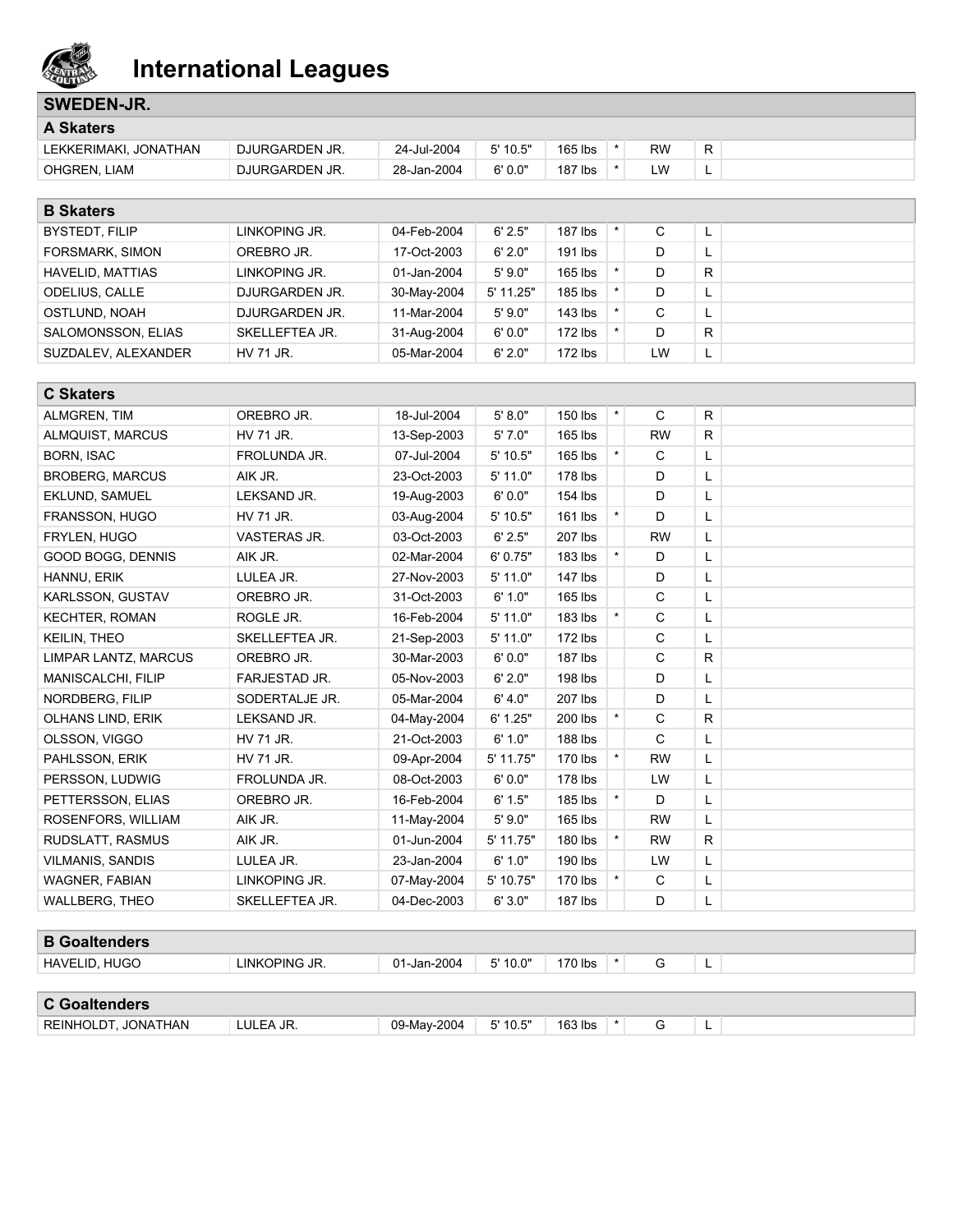

## **SWEDEN-JR.**

| <b>A Skaters</b>      |                |             |            |         |    |    |  |
|-----------------------|----------------|-------------|------------|---------|----|----|--|
| LEKKERIMAKI. JONATHAN | DJURGARDEN JR. | 24-Jul-2004 | $5'$ 10.5" | 165 lbs | RW | R. |  |
| OHGREN, LIAM          | DJURGARDEN JR. | 28-Jan-2004 | 6'0.0"     | 187 lbs | W  | -  |  |

| <b>B</b> Skaters      |                |             |           |           |    |              |  |
|-----------------------|----------------|-------------|-----------|-----------|----|--------------|--|
| BYSTEDT, FILIP        | LINKOPING JR.  | 04-Feb-2004 | 6'2.5"    | $187$ lbs | С  | L.           |  |
| FORSMARK, SIMON       | OREBRO JR.     | 17-Oct-2003 | 6'2.0"    | $191$ lbs |    | $\mathsf{L}$ |  |
| HAVELID, MATTIAS      | LINKOPING JR.  | 01-Jan-2004 | 5'9.0"    | $165$ lbs |    | R            |  |
| <b>ODELIUS, CALLE</b> | DJURGARDEN JR. | 30-May-2004 | 5' 11.25" | 185 lbs   |    | L.           |  |
| OSTLUND, NOAH         | DJURGARDEN JR. | 11-Mar-2004 | 5'9.0"    | $143$ lbs | С  | $\mathsf{L}$ |  |
| SALOMONSSON, ELIAS    | SKELLEFTEA JR. | 31-Aug-2004 | 6'0.0"    | $172$ lbs | D  | R            |  |
| SUZDALEV, ALEXANDER   | HV 71 JR.      | 05-Mar-2004 | 6'2.0"    | $172$ lbs | LW | L.           |  |

| <b>C Skaters</b>        |                     |             |            |           |         |              |              |  |
|-------------------------|---------------------|-------------|------------|-----------|---------|--------------|--------------|--|
| ALMGREN, TIM            | OREBRO JR.          | 18-Jul-2004 | 5' 8.0"    | 150 lbs   | $\star$ | C            | R            |  |
| ALMQUIST, MARCUS        | <b>HV 71 JR.</b>    | 13-Sep-2003 | 5'7.0"     | 165 lbs   |         | <b>RW</b>    | $\mathsf{R}$ |  |
| <b>BORN, ISAC</b>       | FROLUNDA JR.        | 07-Jul-2004 | 5'10.5"    | 165 lbs   | $\star$ | C            | L            |  |
| <b>BROBERG, MARCUS</b>  | AIK JR.             | 23-Oct-2003 | 5' 11.0"   | 178 lbs   |         | D            | L            |  |
| <b>EKLUND, SAMUEL</b>   | LEKSAND JR.         | 19-Aug-2003 | 6'0.0"     | 154 lbs   |         | D            | Г            |  |
| FRANSSON, HUGO          | HV 71 JR.           | 03-Aug-2004 | 5' 10.5"   | 161 lbs   | $\star$ | D            | L.           |  |
| <b>FRYLEN, HUGO</b>     | <b>VASTERAS JR.</b> | 03-Oct-2003 | 6' 2.5"    | 207 lbs   |         | <b>RW</b>    | L            |  |
| GOOD BOGG, DENNIS       | AIK JR.             | 02-Mar-2004 | 6'0.75"    | 183 lbs   | $\star$ | D            | L            |  |
| HANNU, ERIK             | LULEA JR.           | 27-Nov-2003 | 5' 11.0"   | 147 lbs   |         | D            | L            |  |
| KARLSSON, GUSTAV        | OREBRO JR.          | 31-Oct-2003 | 6' 1.0"    | 165 lbs   |         | C            | L            |  |
| <b>KECHTER, ROMAN</b>   | ROGLE JR.           | 16-Feb-2004 | 5' 11.0"   | $183$ lbs |         | C            | L            |  |
| KEILIN, THEO            | SKELLEFTEA JR.      | 21-Sep-2003 | $5'$ 11.0" | 172 lbs   |         | C            | L.           |  |
| LIMPAR LANTZ, MARCUS    | OREBRO JR.          | 30-Mar-2003 | 6'0.0"     | 187 lbs   |         | $\mathsf{C}$ | R.           |  |
| MANISCALCHI, FILIP      | FARJESTAD JR.       | 05-Nov-2003 | 6' 2.0"    | 198 lbs   |         | D            | L            |  |
| NORDBERG, FILIP         | SODERTALJE JR.      | 05-Mar-2004 | 6' 4.0"    | 207 lbs   |         | D            | L            |  |
| OLHANS LIND, ERIK       | LEKSAND JR.         | 04-May-2004 | 6' 1.25"   | 200 lbs   | $\star$ | C            | $\mathsf{R}$ |  |
| OLSSON, VIGGO           | <b>HV 71 JR.</b>    | 21-Oct-2003 | 6' 1.0"    | 188 lbs   |         | $\mathsf{C}$ | L            |  |
| PAHLSSON, ERIK          | <b>HV 71 JR.</b>    | 09-Apr-2004 | 5' 11.75"  | 170 lbs   | $\star$ | <b>RW</b>    | L.           |  |
| PERSSON, LUDWIG         | FROLUNDA JR.        | 08-Oct-2003 | 6'0.0"     | 178 lbs   |         | LW           | L            |  |
| PETTERSSON, ELIAS       | OREBRO JR.          | 16-Feb-2004 | 6' 1.5"    | 185 lbs   | $\star$ | D            | L            |  |
| ROSENFORS, WILLIAM      | AIK JR.             | 11-May-2004 | 5'9.0"     | 165 lbs   |         | <b>RW</b>    | L            |  |
| RUDSLATT, RASMUS        | AIK JR.             | 01-Jun-2004 | 5' 11.75"  | 180 lbs   | $\star$ | <b>RW</b>    | $\mathsf{R}$ |  |
| <b>VILMANIS, SANDIS</b> | LULEA JR.           | 23-Jan-2004 | 6' 1.0"    | 190 lbs   |         | LW           | L            |  |
| <b>WAGNER, FABIAN</b>   | LINKOPING JR.       | 07-May-2004 | 5' 10.75"  | 170 lbs   | $\star$ | C            | L            |  |
| <b>WALLBERG, THEO</b>   | SKELLEFTEA JR.      | 04-Dec-2003 | 6'3.0"     | $187$ lbs |         | D            | L            |  |

| <b>B</b> Goaltenders |               |             |            |         |   |  |
|----------------------|---------------|-------------|------------|---------|---|--|
| HAVELID, HUGO        | LINKOPING JR. | 01-Jan-2004 | 5' 10.0"   | 170 lbs | G |  |
|                      |               |             |            |         |   |  |
| <b>C</b> Goaltenders |               |             |            |         |   |  |
| REINHOLDT, JONATHAN  | LULEA JR.     | 09-May-2004 | $5'$ 10.5" | 163 lbs | G |  |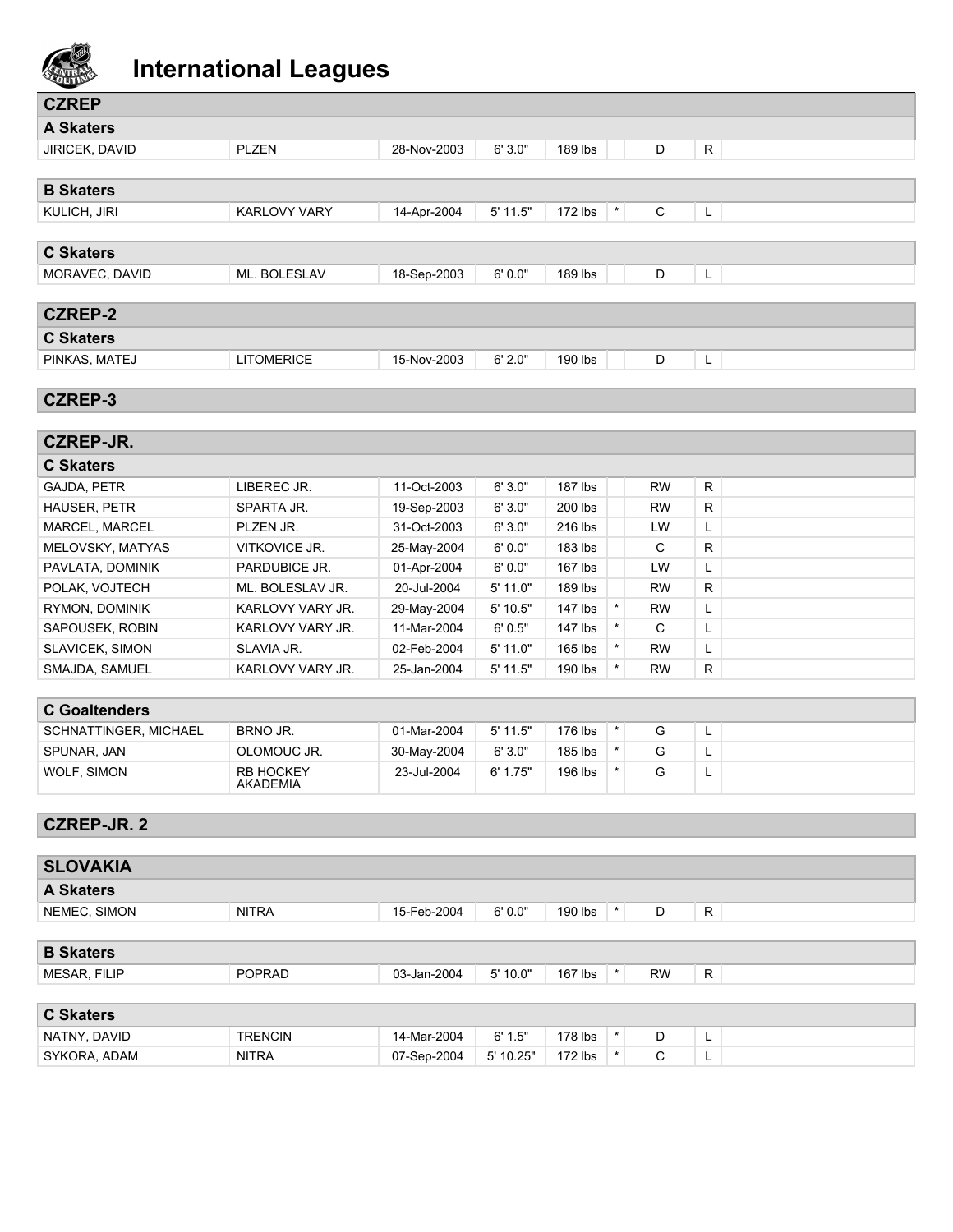

| <b>CZREP</b>     |                     |             |            |                    |   |    |
|------------------|---------------------|-------------|------------|--------------------|---|----|
| <b>A Skaters</b> |                     |             |            |                    |   |    |
| JIRICEK, DAVID   | <b>PLZEN</b>        | 28-Nov-2003 | 6'3.0"     | 189 lbs            | D | R. |
|                  |                     |             |            |                    |   |    |
| <b>B Skaters</b> |                     |             |            |                    |   |    |
| KULICH, JIRI     | <b>KARLOVY VARY</b> | 14-Apr-2004 | $5'$ 11.5" | $\star$<br>172 lbs | C | L  |
|                  |                     |             |            |                    |   |    |
| <b>C Skaters</b> |                     |             |            |                    |   |    |
| MORAVEC, DAVID   | ML. BOLESLAV        | 18-Sep-2003 | 6'0.0"     | 189 lbs            | D | L  |
|                  |                     |             |            |                    |   |    |
| <b>CZREP-2</b>   |                     |             |            |                    |   |    |
| <b>C Skaters</b> |                     |             |            |                    |   |    |
| PINKAS, MATEJ    | <b>LITOMERICE</b>   | 15-Nov-2003 | 6' 2.0"    | 190 lbs            | D | L  |
|                  |                     |             |            |                    |   |    |

## **CZREP-3**

| <b>CZREP-JR.</b>    |                         |             |            |           |           |    |
|---------------------|-------------------------|-------------|------------|-----------|-----------|----|
| <b>C Skaters</b>    |                         |             |            |           |           |    |
| GAJDA, PETR         | LIBEREC JR.             | 11-Oct-2003 | 6'3.0"     | $187$ lbs | <b>RW</b> | R. |
| <b>HAUSER, PETR</b> | SPARTA JR.              | 19-Sep-2003 | 6'3.0"     | 200 lbs   | <b>RW</b> | R. |
| MARCEL, MARCEL      | PLZEN JR.               | 31-Oct-2003 | 6'3.0"     | $216$ lbs | LW        | L. |
| MELOVSKY, MATYAS    | VITKOVICE JR.           | 25-May-2004 | 6'0.0"     | 183 lbs   | C         | R  |
| PAVLATA, DOMINIK    | PARDUBICE JR.           | 01-Apr-2004 | 6'0.0"     | $167$ lbs | LW        | L. |
| POLAK, VOJTECH      | ML. BOLESLAV JR.        | 20-Jul-2004 | $5'$ 11.0" | 189 lbs   | <b>RW</b> | R. |
| RYMON, DOMINIK      | <b>KARLOVY VARY JR.</b> | 29-May-2004 | $5'$ 10.5" | 147 lbs   | <b>RW</b> | L. |
| SAPOUSEK, ROBIN     | <b>KARLOVY VARY JR.</b> | 11-Mar-2004 | 6'0.5"     | $147$ lbs | C         | ┗  |
| SLAVICEK, SIMON     | SLAVIA JR.              | 02-Feb-2004 | $5'$ 11.0" | 165 lbs   | <b>RW</b> | L. |
| SMAJDA, SAMUEL      | <b>KARLOVY VARY JR.</b> | 25-Jan-2004 | $5'$ 11.5" | 190 lbs   | <b>RW</b> | R. |

## **C Goaltenders**

| -------------         |                              |             |            |           |  |   |  |
|-----------------------|------------------------------|-------------|------------|-----------|--|---|--|
| SCHNATTINGER, MICHAEL | BRNO JR.                     | 01-Mar-2004 | $5'$ 11.5" | 176 lbs   |  | - |  |
| SPUNAR, JAN           | OLOMOUC JR.                  | 30-May-2004 | 6'3.0"     | $185$ lbs |  | - |  |
| WOLF. SIMON           | <b>RB HOCKEY</b><br>AKADEMIA | 23-Jul-2004 | 6' 1.75"   | 196 lbs   |  | - |  |

## **CZREP-JR. 2**

| <b>SLOVAKIA</b>  |                |             |           |           |         |           |    |
|------------------|----------------|-------------|-----------|-----------|---------|-----------|----|
| <b>A Skaters</b> |                |             |           |           |         |           |    |
| NEMEC, SIMON     | <b>NITRA</b>   | 15-Feb-2004 | 6'0.0"    | 190 lbs   | $\star$ | D         | R  |
|                  |                |             |           |           |         |           |    |
| <b>B</b> Skaters |                |             |           |           |         |           |    |
| MESAR, FILIP     | <b>POPRAD</b>  | 03-Jan-2004 | 5'10.0"   | $167$ lbs | $\star$ | <b>RW</b> | R. |
|                  |                |             |           |           |         |           |    |
| <b>C Skaters</b> |                |             |           |           |         |           |    |
| NATNY, DAVID     | <b>TRENCIN</b> | 14-Mar-2004 | 6' 1.5"   | $178$ lbs | $\star$ | D         | L  |
| SYKORA, ADAM     | <b>NITRA</b>   | 07-Sep-2004 | 5' 10.25" | $172$ lbs | $\star$ | С         | ъ. |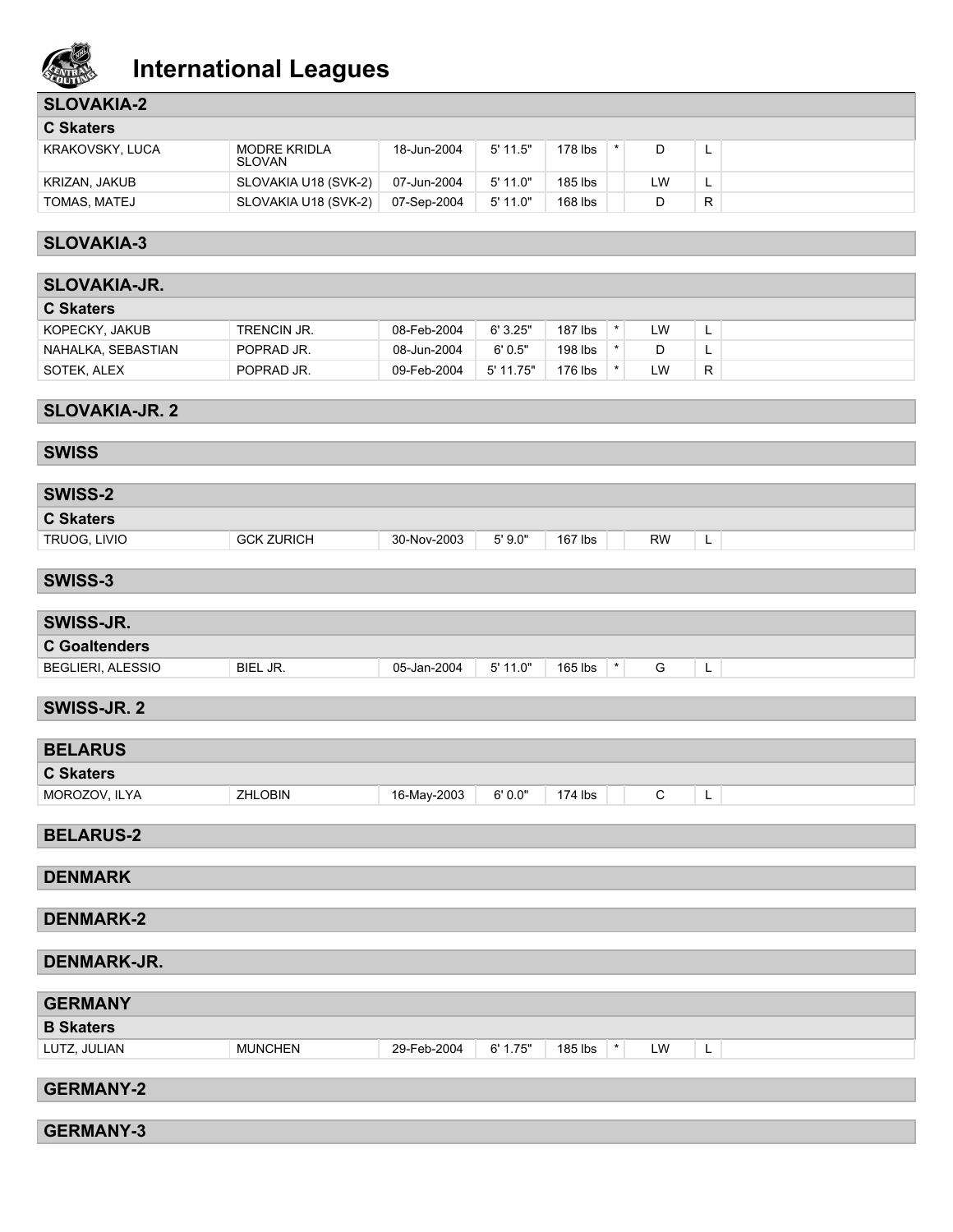

## **SLOVAKIA-2**

| <b>C</b> Skaters |                               |             |            |           |  |    |          |  |  |
|------------------|-------------------------------|-------------|------------|-----------|--|----|----------|--|--|
| KRAKOVSKY, LUCA  | MODRE KRIDLA<br><b>SLOVAN</b> | 18-Jun-2004 | $5'$ 11.5" | $178$ lbs |  |    | -        |  |  |
| KRIZAN, JAKUB    | SLOVAKIA U18 (SVK-2)          | 07-Jun-2004 | $5'$ 11.0" | 185 lbs   |  | LW | <u>.</u> |  |  |
| TOMAS, MATEJ     | SLOVAKIA U18 (SVK-2)          | 07-Sep-2004 | $5'$ 11.0" | $168$ lbs |  |    | R        |  |  |

## **SLOVAKIA-3**

| <b>SLOVAKIA-JR.</b> |             |             |           |           |  |    |    |  |  |  |
|---------------------|-------------|-------------|-----------|-----------|--|----|----|--|--|--|
| <b>C</b> Skaters    |             |             |           |           |  |    |    |  |  |  |
| KOPECKY, JAKUB      | TRENCIN JR. | 08-Feb-2004 | 6'3.25"   | $187$ lbs |  | LW |    |  |  |  |
| NAHALKA, SEBASTIAN  | POPRAD JR.  | 08-Jun-2004 | 6'0.5"    | 198 lbs   |  | D  |    |  |  |  |
| SOTEK, ALEX         | POPRAD JR.  | 09-Feb-2004 | 5' 11.75" | 176 lbs   |  | LW | R. |  |  |  |

## **SLOVAKIA-JR. 2**

## **SWISS**

| <b>SWISS-2</b>   |                   |             |        |              |           |   |
|------------------|-------------------|-------------|--------|--------------|-----------|---|
| <b>C Skaters</b> |                   |             |        |              |           |   |
| TRUOG, LIVIO     | <b>GCK ZURICH</b> | 30-Nov-2003 | 5'9.0" | 167 $\,$ lbs | <b>RW</b> | - |

## **SWISS-3**

| <b>SWISS-JR.</b>     |          |             |          |         |  |   |  |
|----------------------|----------|-------------|----------|---------|--|---|--|
| <b>C</b> Goaltenders |          |             |          |         |  |   |  |
| BEGLIERI, ALESSIO    | BIEL JR. | 05-Jan-2004 | 5' 11.0" | 165 lbs |  | - |  |

## **SWISS-JR. 2**

| <b>BELARUS</b>   |                |             |        |         |  |   |  |
|------------------|----------------|-------------|--------|---------|--|---|--|
| <b>C Skaters</b> |                |             |        |         |  |   |  |
| MOROZOV, ILYA    | <b>ZHLOBIN</b> | 16-May-2003 | 6'0.0" | 174 lbs |  | - |  |

## **BELARUS-2**

| <b>DENMARK</b>     |                |             |          |         |               |   |  |
|--------------------|----------------|-------------|----------|---------|---------------|---|--|
|                    |                |             |          |         |               |   |  |
| <b>DENMARK-2</b>   |                |             |          |         |               |   |  |
|                    |                |             |          |         |               |   |  |
| <b>DENMARK-JR.</b> |                |             |          |         |               |   |  |
|                    |                |             |          |         |               |   |  |
| <b>GERMANY</b>     |                |             |          |         |               |   |  |
| <b>B Skaters</b>   |                |             |          |         |               |   |  |
| LUTZ, JULIAN       | <b>MUNCHEN</b> | 29-Feb-2004 | 6' 1.75" | 185 lbs | $\star$<br>LW | L |  |
|                    |                |             |          |         |               |   |  |
| <b>GERMANY-2</b>   |                |             |          |         |               |   |  |
|                    |                |             |          |         |               |   |  |
| <b>GERMANY-3</b>   |                |             |          |         |               |   |  |